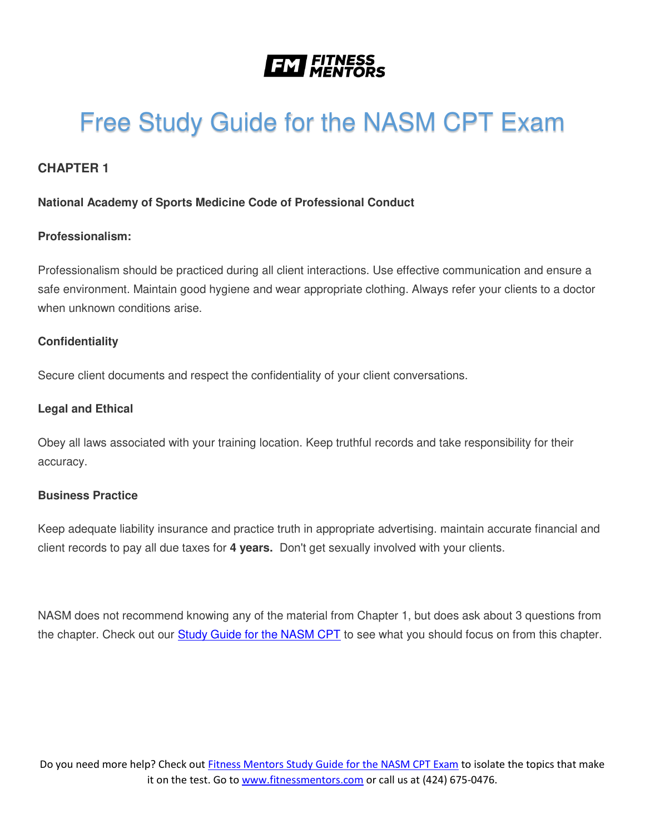

# Free Study Guide for the NASM CPT Exam

# **CHAPTER 1**

#### **National Academy of Sports Medicine Code of Professional Conduct**

#### **Professionalism:**

Professionalism should be practiced during all client interactions. Use effective communication and ensure a safe environment. Maintain good hygiene and wear appropriate clothing. Always refer your clients to a doctor when unknown conditions arise.

#### **Confidentiality**

Secure client documents and respect the confidentiality of your client conversations.

#### **Legal and Ethical**

Obey all laws associated with your training location. Keep truthful records and take responsibility for their accuracy.

#### **Business Practice**

Keep adequate liability insurance and practice truth in appropriate advertising. maintain accurate financial and client records to pay all due taxes for **4 years.** Don't get sexually involved with your clients.

NASM does not recommend knowing any of the material from Chapter 1, but does ask about 3 questions from the chapter. Check out our [Study Guide for the NASM CPT](https://www.fitnessmentors.com/newsite/nasm-cpt-exam-study-guide/) to see what you should focus on from this chapter.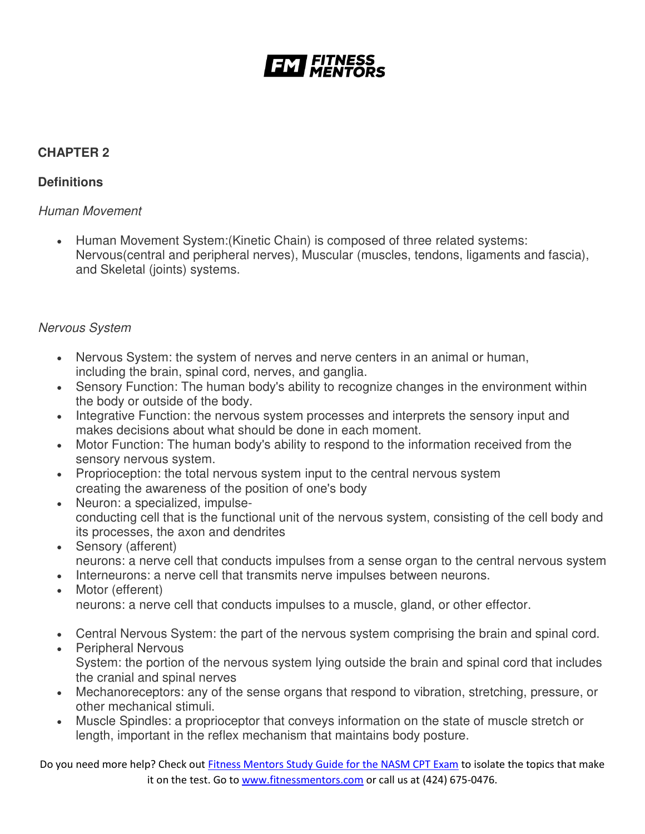

# **CHAPTER 2**

### **Definitions**

### *Human Movement*

 Human Movement System:(Kinetic Chain) is composed of three related systems: Nervous(central and peripheral nerves), Muscular (muscles, tendons, ligaments and fascia), and Skeletal (joints) systems.

# *Nervous System*

- Nervous System: the system of nerves and nerve centers in an animal or human, including the brain, spinal cord, nerves, and ganglia.
- Sensory Function: The human body's ability to recognize changes in the environment within the body or outside of the body.
- Integrative Function: the nervous system processes and interprets the sensory input and makes decisions about what should be done in each moment.
- Motor Function: The human body's ability to respond to the information received from the sensory nervous system.
- Proprioception: the total nervous system input to the central nervous system creating the awareness of the position of one's body
- Neuron: a specialized, impulseconducting cell that is the functional unit of the nervous system, consisting of the cell body and its processes, the axon and dendrites
- Sensory (afferent) neurons: a nerve cell that conducts impulses from a sense organ to the central nervous system
- Interneurons: a nerve cell that transmits nerve impulses between neurons.
- Motor (efferent) neurons: a nerve cell that conducts impulses to a muscle, gland, or other effector.
- Central Nervous System: the part of the nervous system comprising the brain and spinal cord.
- Peripheral Nervous System: the portion of the nervous system lying outside the brain and spinal cord that includes the cranial and spinal nerves
- Mechanoreceptors: any of the sense organs that respond to vibration, stretching, pressure, or other mechanical stimuli.
- Muscle Spindles: a proprioceptor that conveys information on the state of muscle stretch or length, important in the reflex mechanism that maintains body posture.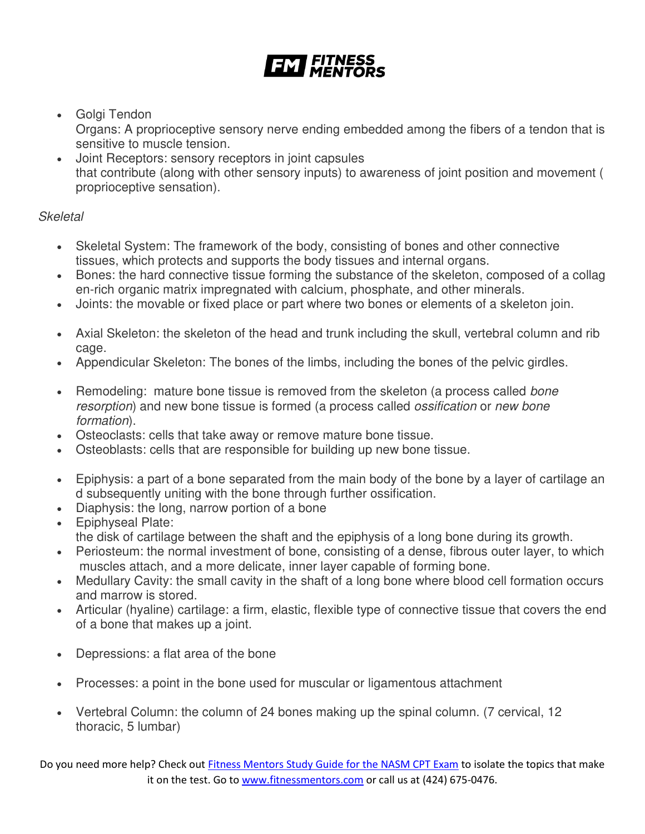- Golgi Tendon Organs: A proprioceptive sensory nerve ending embedded among the fibers of a tendon that is sensitive to muscle tension.
- Joint Receptors: sensory receptors in joint capsules that contribute (along with other sensory inputs) to awareness of joint position and movement ( proprioceptive sensation).

# *Skeletal*

- Skeletal System: The framework of the body, consisting of bones and other connective tissues, which protects and supports the body tissues and internal organs.
- Bones: the hard connective tissue forming the substance of the skeleton, composed of a collag en-rich organic matrix impregnated with calcium, phosphate, and other minerals.
- Joints: the movable or fixed place or part where two bones or elements of a skeleton join.
- Axial Skeleton: the skeleton of the head and trunk including the skull, vertebral column and rib cage.
- Appendicular Skeleton: The bones of the limbs, including the bones of the pelvic girdles.
- Remodeling: mature bone tissue is removed from the skeleton (a process called *bone resorption*) and new bone tissue is formed (a process called *ossification* or *new bone formation*).
- Osteoclasts: cells that take away or remove mature bone tissue.
- Osteoblasts: cells that are responsible for building up new bone tissue.
- Epiphysis: a part of a bone separated from the main body of the bone by a layer of cartilage an d subsequently uniting with the bone through further ossification.
- Diaphysis: the long, narrow portion of a bone
- Epiphyseal Plate: the disk of cartilage between the shaft and the epiphysis of a long bone during its growth.
- Periosteum: the normal investment of bone, consisting of a dense, fibrous outer layer, to which muscles attach, and a more delicate, inner layer capable of forming bone.
- Medullary Cavity: the small cavity in the shaft of a long bone where blood cell formation occurs and marrow is stored.
- Articular (hyaline) cartilage: a firm, elastic, flexible type of connective tissue that covers the end of a bone that makes up a joint.
- Depressions: a flat area of the bone
- Processes: a point in the bone used for muscular or ligamentous attachment
- Vertebral Column: the column of 24 bones making up the spinal column. (7 cervical, 12 thoracic, 5 lumbar)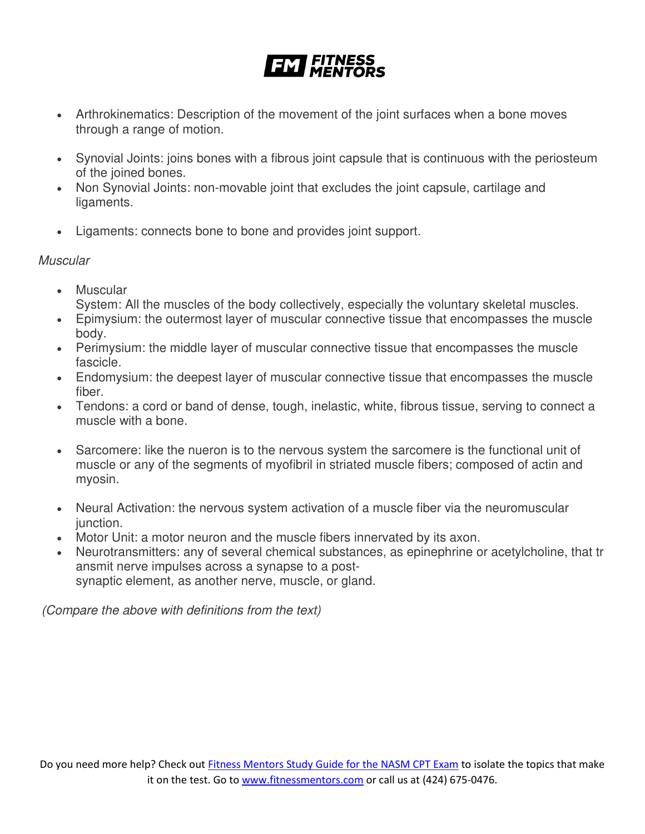- Arthrokinematics: Description of the movement of the joint surfaces when a bone moves through a range of motion.
- Synovial Joints: joins bones with a fibrous joint capsule that is continuous with the periosteum of the joined bones.
- Non Synovial Joints: non-movable joint that excludes the joint capsule, cartilage and ligaments.
- Ligaments: connects bone to bone and provides joint support.

# *Muscular*

- Muscular System: All the muscles of the body collectively, especially the voluntary skeletal muscles.
- Epimysium: the outermost layer of muscular connective tissue that encompasses the muscle body.
- Perimysium: the middle layer of muscular connective tissue that encompasses the muscle fascicle.
- Endomysium: the deepest layer of muscular connective tissue that encompasses the muscle fiber.
- Tendons: a cord or band of dense, tough, inelastic, white, fibrous tissue, serving to connect a muscle with a bone.
- Sarcomere: like the nueron is to the nervous system the sarcomere is the functional unit of muscle or any of the segments of myofibril in striated muscle fibers; composed of actin and myosin.
- Neural Activation: the nervous system activation of a muscle fiber via the neuromuscular junction.
- Motor Unit: a motor neuron and the muscle fibers innervated by its axon.
- Neurotransmitters: any of several chemical substances, as epinephrine or acetylcholine, that tr ansmit nerve impulses across a synapse to a postsynaptic element, as another nerve, muscle, or gland.

 *(Compare the above with definitions from the text)*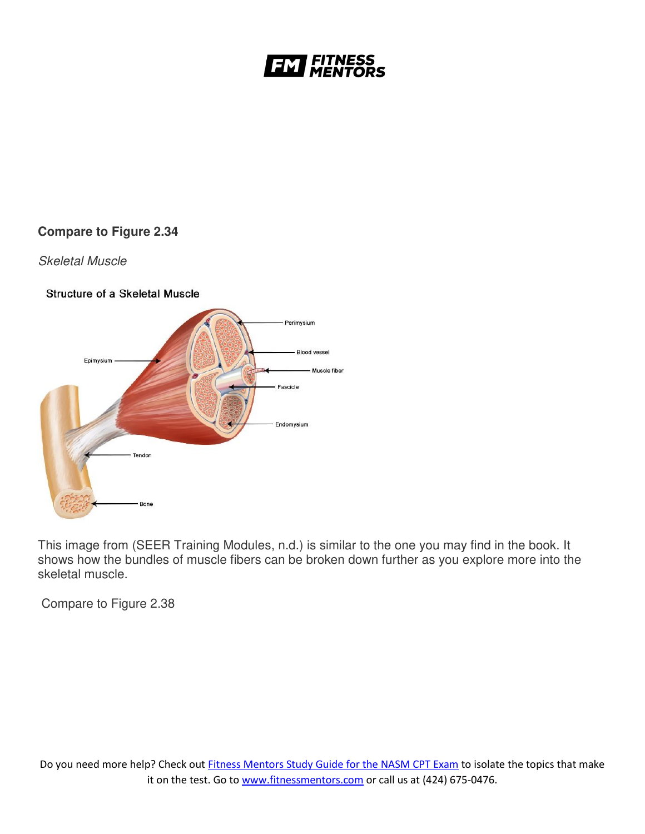

# **Compare to Figure 2.34**

#### *Skeletal Muscle*

#### **Structure of a Skeletal Muscle**



This image from (SEER Training Modules, n.d.) is similar to the one you may find in the book. It shows how the bundles of muscle fibers can be broken down further as you explore more into the skeletal muscle.

Compare to Figure 2.38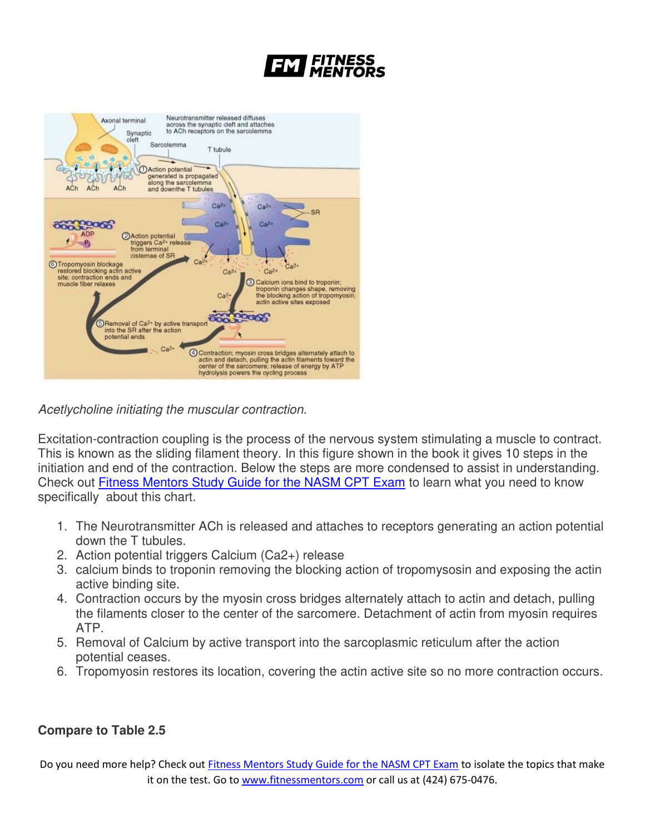



*Acetlycholine initiating the muscular contraction.*

Excitation-contraction coupling is the process of the nervous system stimulating a muscle to contract. This is known as the sliding filament theory. In this figure shown in the book it gives 10 steps in the initiation and end of the contraction. Below the steps are more condensed to assist in understanding. Check out [Fitness Mentors Study Guide for the NASM CPT Exam](https://www.fitnessmentors.com/nasm-cpt-exam-study-guide/) to learn what you need to know specifically about this chart.

- 1. The Neurotransmitter ACh is released and attaches to receptors generating an action potential down the T tubules.
- 2. Action potential triggers Calcium (Ca2+) release
- 3. calcium binds to troponin removing the blocking action of tropomysosin and exposing the actin active binding site.
- 4. Contraction occurs by the myosin cross bridges alternately attach to actin and detach, pulling the filaments closer to the center of the sarcomere. Detachment of actin from myosin requires ATP.
- 5. Removal of Calcium by active transport into the sarcoplasmic reticulum after the action potential ceases.
- 6. Tropomyosin restores its location, covering the actin active site so no more contraction occurs.

### **Compare to Table 2.5**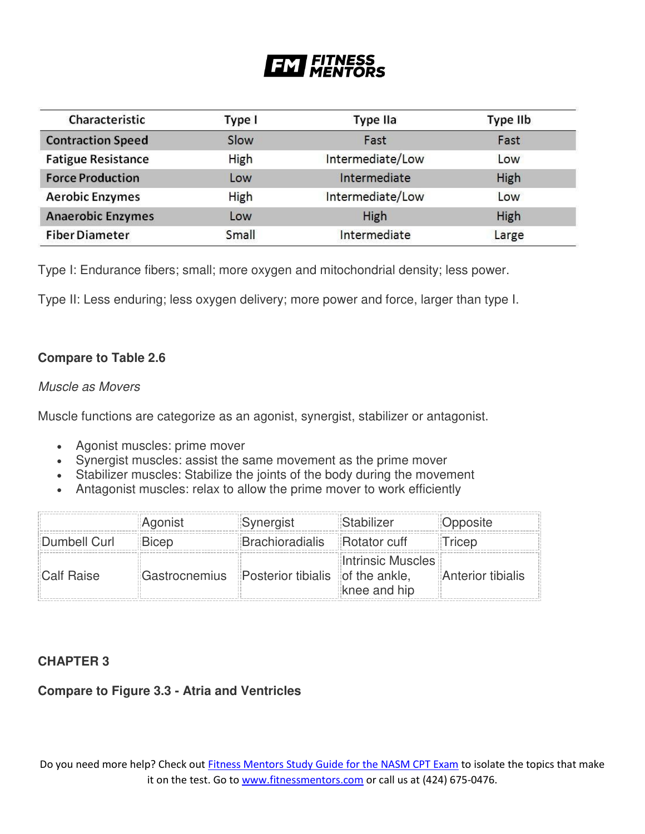#### | FITNESS<br>| MENTORS FM

| Characteristic            | Type I | <b>Type IIa</b>  | Type IIb |
|---------------------------|--------|------------------|----------|
| <b>Contraction Speed</b>  | Slow   | Fast             | Fast     |
| <b>Fatigue Resistance</b> | High   | Intermediate/Low | Low      |
| <b>Force Production</b>   | Low    | Intermediate     | High     |
| <b>Aerobic Enzymes</b>    | High   | Intermediate/Low | Low      |
| <b>Anaerobic Enzymes</b>  | Low    | High             | High     |
| <b>Fiber Diameter</b>     | Small  | Intermediate     | Large    |

Type I: Endurance fibers; small; more oxygen and mitochondrial density; less power.

Type II: Less enduring; less oxygen delivery; more power and force, larger than type I.

#### **Compare to Table 2.6**

#### *Muscle as Movers*

Muscle functions are categorize as an agonist, synergist, stabilizer or antagonist.

- Agonist muscles: prime mover
- Synergist muscles: assist the same movement as the prime mover
- Stabilizer muscles: Stabilize the joints of the body during the movement
- Antagonist muscles: relax to allow the prime mover to work efficiently

|                   | Agonist      | Synergist                                      | Stabilizer                        | Opposite          |
|-------------------|--------------|------------------------------------------------|-----------------------------------|-------------------|
| Dumbell Curl      | <b>Bicep</b> | <b>Brachioradialis</b> Rotator cuff            |                                   | <b>Tricep</b>     |
| <b>Calf Raise</b> |              | Gastrocnemius Posterior tibialis of the ankle, | Intrinsic Muscles<br>knee and hip | Anterior tibialis |

#### **CHAPTER 3**

### **Compare to Figure 3.3 - Atria and Ventricles**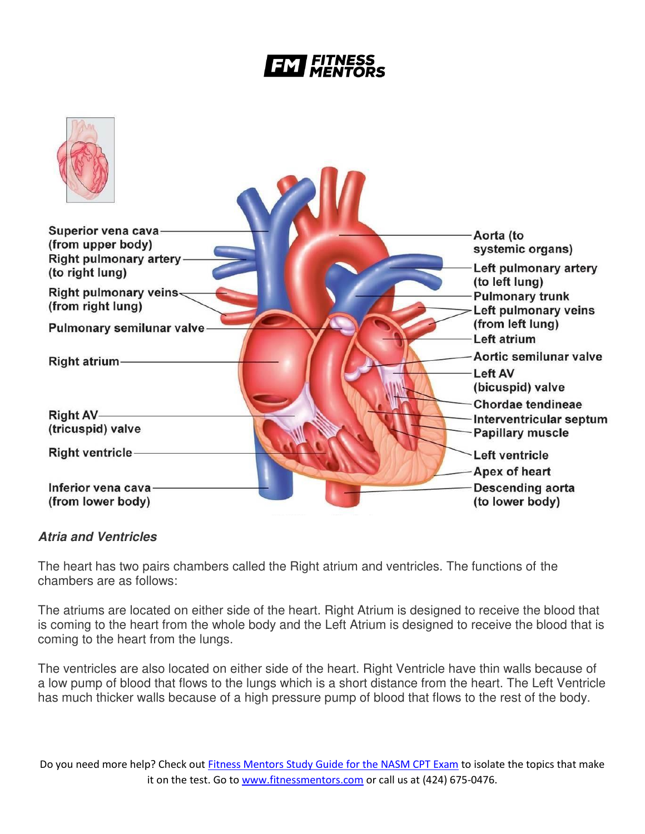# **FITNESS**



### *Atria and Ventricles*

The heart has two pairs chambers called the Right atrium and ventricles. The functions of the chambers are as follows:

The atriums are located on either side of the heart. Right Atrium is designed to receive the blood that is coming to the heart from the whole body and the Left Atrium is designed to receive the blood that is coming to the heart from the lungs.

The ventricles are also located on either side of the heart. Right Ventricle have thin walls because of a low pump of blood that flows to the lungs which is a short distance from the heart. The Left Ventricle has much thicker walls because of a high pressure pump of blood that flows to the rest of the body.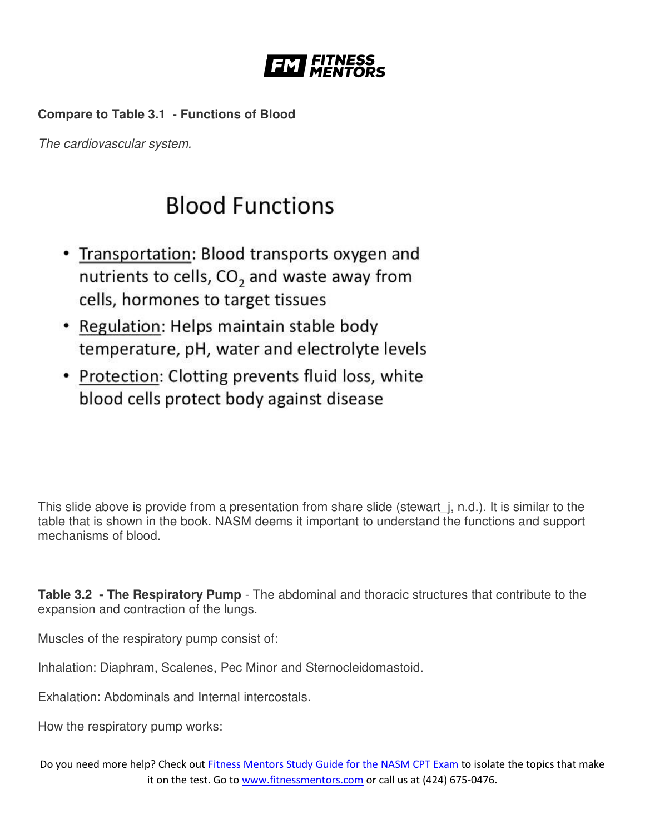

# **Compare to Table 3.1 - Functions of Blood**

*The cardiovascular system.*

# **Blood Functions**

- Transportation: Blood transports oxygen and nutrients to cells, CO<sub>2</sub> and waste away from cells, hormones to target tissues
- Regulation: Helps maintain stable body temperature, pH, water and electrolyte levels
- Protection: Clotting prevents fluid loss, white blood cells protect body against disease

This slide above is provide from a presentation from share slide (stewart *i, n.d.).* It is similar to the table that is shown in the book. NASM deems it important to understand the functions and support mechanisms of blood.

**Table 3.2 - The Respiratory Pump** - The abdominal and thoracic structures that contribute to the expansion and contraction of the lungs.

Muscles of the respiratory pump consist of:

Inhalation: Diaphram, Scalenes, Pec Minor and Sternocleidomastoid.

Exhalation: Abdominals and Internal intercostals.

How the respiratory pump works: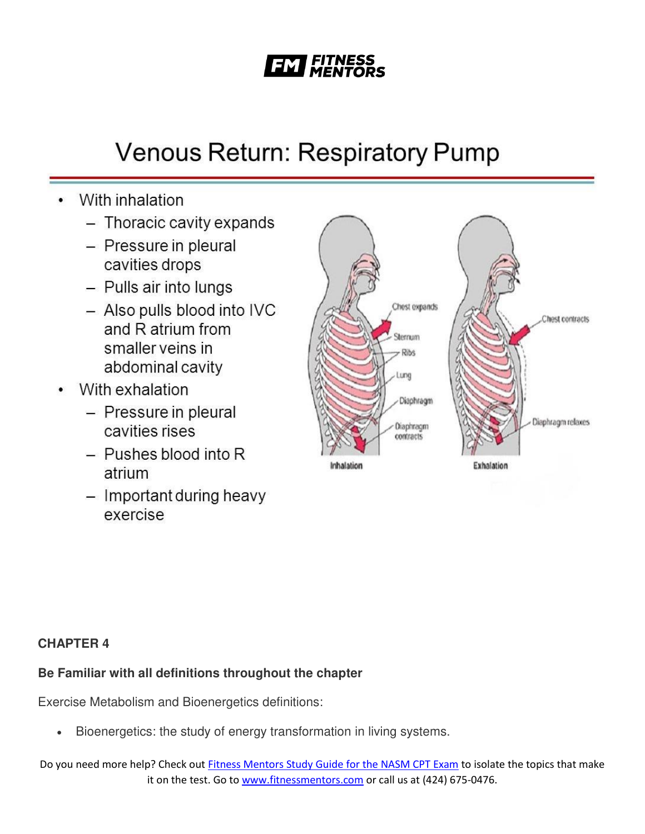# **FITNESS**

# **Venous Return: Respiratory Pump**

- With inhalation
	- Thoracic cavity expands
	- Pressure in pleural cavities drops
	- Pulls air into lungs
	- Also pulls blood into IVC and R atrium from smaller veins in abdominal cavity
- With exhalation
	- Pressure in pleural cavities rises
	- $-$  Pushes blood into R atrium
	- Important during heavy exercise



# **CHAPTER 4**

# **Be Familiar with all definitions throughout the chapter**

Exercise Metabolism and Bioenergetics definitions:

Bioenergetics: the study of energy transformation in living systems.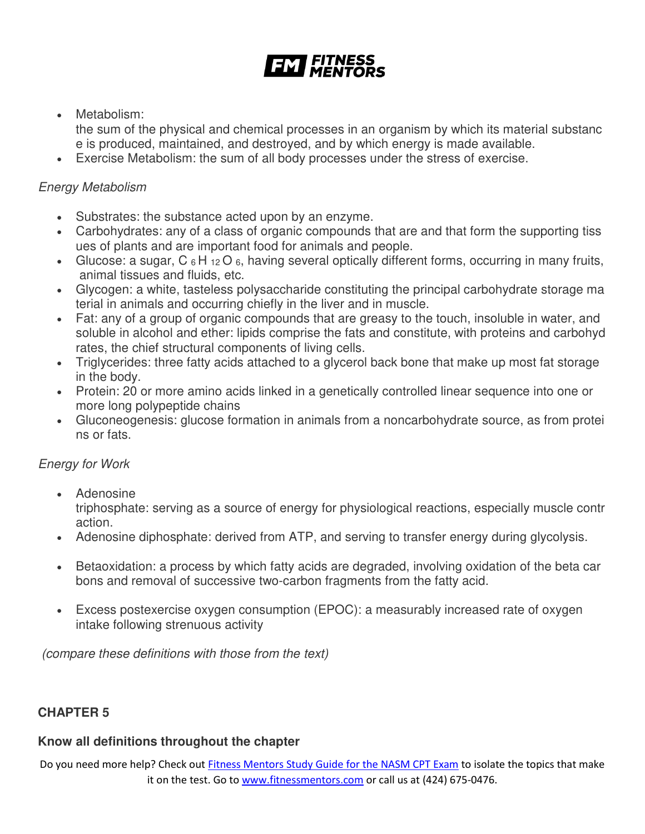Metabolism:

the sum of the physical and chemical processes in an organism by which its material substanc e is produced, maintained, and destroyed, and by which energy is made available.

Exercise Metabolism: the sum of all body processes under the stress of exercise.

# *Energy Metabolism*

- Substrates: the substance acted upon by an enzyme.
- Carbohydrates: any of a class of organic compounds that are and that form the supporting tiss ues of plants and are important food for animals and people.
- Glucose: a sugar,  $C_6H_{12}O_6$ , having several optically different forms, occurring in many fruits, animal tissues and fluids, etc.
- Glycogen: a white, tasteless polysaccharide constituting the principal carbohydrate storage ma terial in animals and occurring chiefly in the liver and in muscle.
- Fat: any of a group of organic compounds that are greasy to the touch, insoluble in water, and soluble in alcohol and ether: lipids comprise the fats and constitute, with proteins and carbohyd rates, the chief structural components of living cells.
- Triglycerides: three fatty acids attached to a glycerol back bone that make up most fat storage in the body.
- Protein: 20 or more amino acids linked in a genetically controlled linear sequence into one or more long polypeptide chains
- Gluconeogenesis: glucose formation in animals from a noncarbohydrate source, as from protei ns or fats.

# *Energy for Work*

• Adenosine

triphosphate: serving as a source of energy for physiological reactions, especially muscle contr action.

- Adenosine diphosphate: derived from ATP, and serving to transfer energy during glycolysis.
- Betaoxidation: a process by which fatty acids are degraded, involving oxidation of the beta car bons and removal of successive two-carbon fragments from the fatty acid.
- Excess postexercise oxygen consumption (EPOC): a measurably increased rate of oxygen intake following strenuous activity

*(compare these definitions with those from the text)* 

# **CHAPTER 5**

### **Know all definitions throughout the chapter**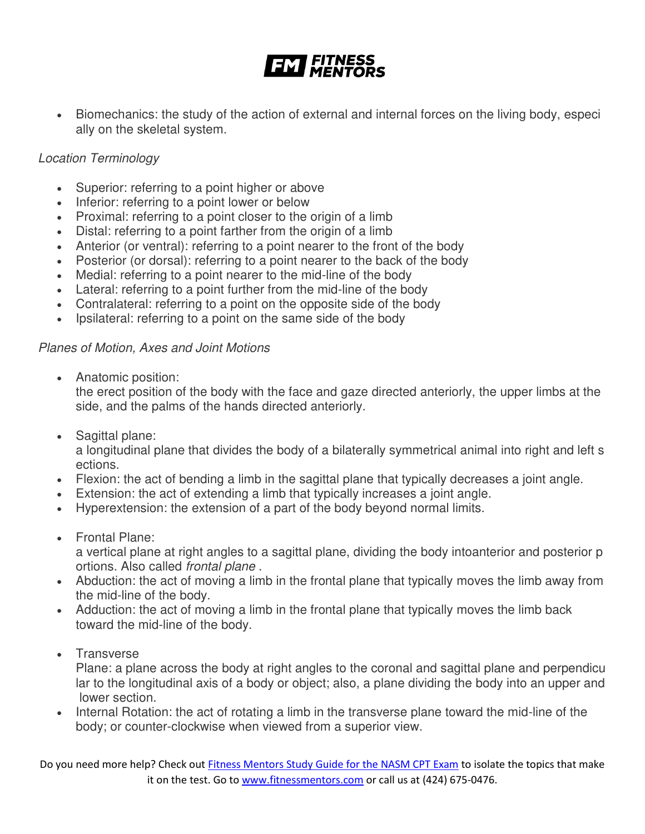• Biomechanics: the study of the action of external and internal forces on the living body, especi ally on the skeletal system.

# *Location Terminology*

- Superior: referring to a point higher or above
- Inferior: referring to a point lower or below
- Proximal: referring to a point closer to the origin of a limb
- Distal: referring to a point farther from the origin of a limb
- Anterior (or ventral): referring to a point nearer to the front of the body
- Posterior (or dorsal): referring to a point nearer to the back of the body
- Medial: referring to a point nearer to the mid-line of the body
- Lateral: referring to a point further from the mid-line of the body
- Contralateral: referring to a point on the opposite side of the body
- Ipsilateral: referring to a point on the same side of the body

### *Planes of Motion, Axes and Joint Motions*

Anatomic position:

the erect position of the body with the face and gaze directed anteriorly, the upper limbs at the side, and the palms of the hands directed anteriorly.

• Sagittal plane:

a longitudinal plane that divides the body of a bilaterally symmetrical animal into right and left s ections.

- Flexion: the act of bending a limb in the sagittal plane that typically decreases a joint angle.
- Extension: the act of extending a limb that typically increases a joint angle.
- Hyperextension: the extension of a part of the body beyond normal limits.
- Frontal Plane:

a vertical plane at right angles to a sagittal plane, dividing the body intoanterior and posterior p ortions. Also called *frontal plane* .

- Abduction: the act of moving a limb in the frontal plane that typically moves the limb away from the mid-line of the body.
- Adduction: the act of moving a limb in the frontal plane that typically moves the limb back toward the mid-line of the body.
- **Transverse**

Plane: a plane across the body at right angles to the coronal and sagittal plane and perpendicu lar to the longitudinal axis of a body or object; also, a plane dividing the body into an upper and lower section.

 Internal Rotation: the act of rotating a limb in the transverse plane toward the mid-line of the body; or counter-clockwise when viewed from a superior view.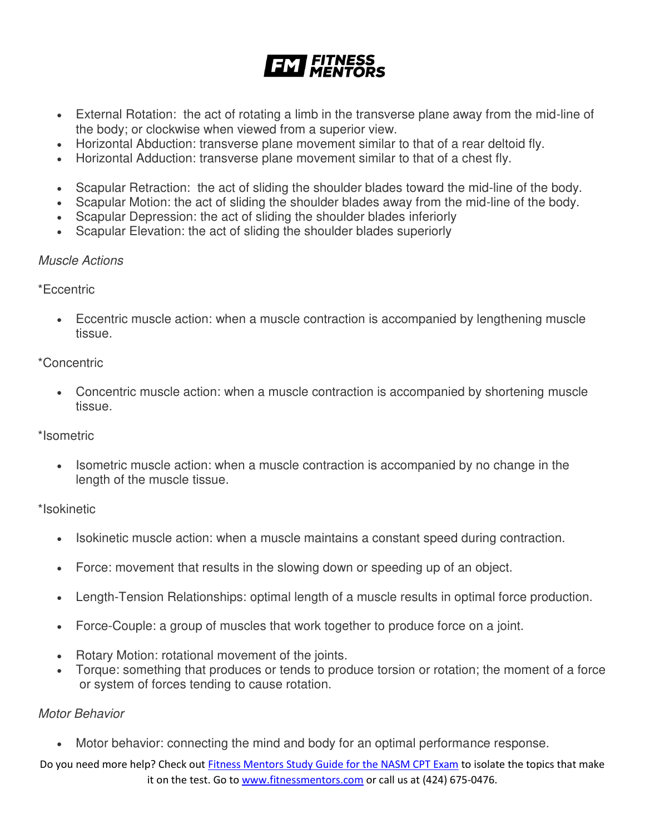# **EXT FITNESS**

- External Rotation: the act of rotating a limb in the transverse plane away from the mid-line of the body; or clockwise when viewed from a superior view.
- Horizontal Abduction: transverse plane movement similar to that of a rear deltoid fly.
- Horizontal Adduction: transverse plane movement similar to that of a chest fly.
- Scapular Retraction: the act of sliding the shoulder blades toward the mid-line of the body.
- Scapular Motion: the act of sliding the shoulder blades away from the mid-line of the body.
- Scapular Depression: the act of sliding the shoulder blades inferiorly
- Scapular Elevation: the act of sliding the shoulder blades superiorly

#### *Muscle Actions*

\*Eccentric

 Eccentric muscle action: when a muscle contraction is accompanied by lengthening muscle tissue.

#### \*Concentric

 Concentric muscle action: when a muscle contraction is accompanied by shortening muscle tissue.

#### \*Isometric

 Isometric muscle action: when a muscle contraction is accompanied by no change in the length of the muscle tissue.

### \*Isokinetic

- Isokinetic muscle action: when a muscle maintains a constant speed during contraction.
- Force: movement that results in the slowing down or speeding up of an object.
- Length-Tension Relationships: optimal length of a muscle results in optimal force production.
- Force-Couple: a group of muscles that work together to produce force on a joint.
- Rotary Motion: rotational movement of the joints.
- Torque: something that produces or tends to produce torsion or rotation; the moment of a force or system of forces tending to cause rotation.

#### *Motor Behavior*

Motor behavior: connecting the mind and body for an optimal performance response.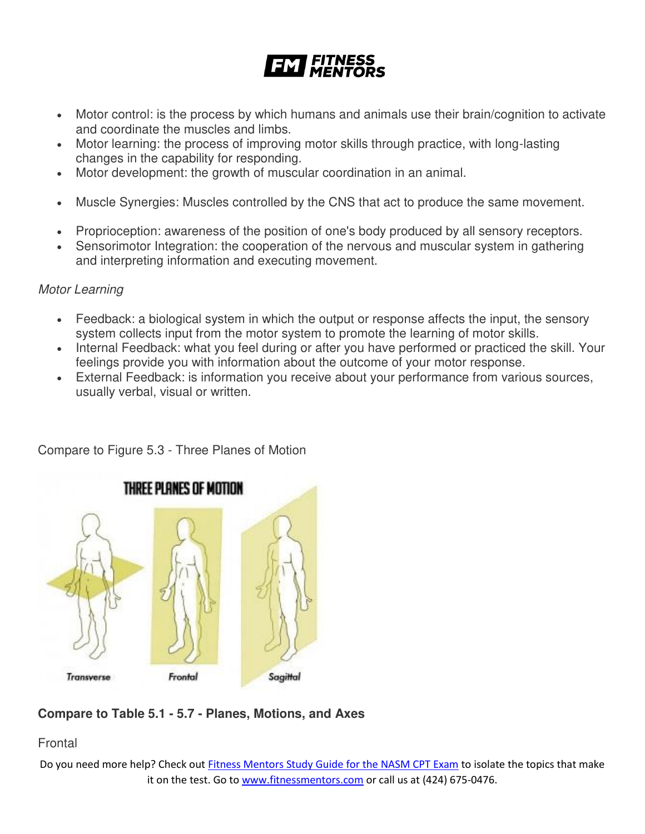![](_page_13_Picture_0.jpeg)

- Motor control: is the process by which humans and animals use their brain/cognition to activate and coordinate the muscles and limbs.
- Motor learning: the process of improving motor skills through practice, with long-lasting changes in the capability for responding.
- Motor development: the growth of muscular coordination in an animal.
- Muscle Synergies: Muscles controlled by the CNS that act to produce the same movement.
- Proprioception: awareness of the position of one's body produced by all sensory receptors.
- Sensorimotor Integration: the cooperation of the nervous and muscular system in gathering and interpreting information and executing movement.

### *Motor Learning*

- Feedback: a biological system in which the output or response affects the input, the sensory system collects input from the motor system to promote the learning of motor skills.
- Internal Feedback: what you feel during or after you have performed or practiced the skill. Your feelings provide you with information about the outcome of your motor response.
- External Feedback: is information you receive about your performance from various sources, usually verbal, visual or written.

![](_page_13_Figure_11.jpeg)

Compare to Figure 5.3 - Three Planes of Motion

# **Compare to Table 5.1 - 5.7 - Planes, Motions, and Axes**

Frontal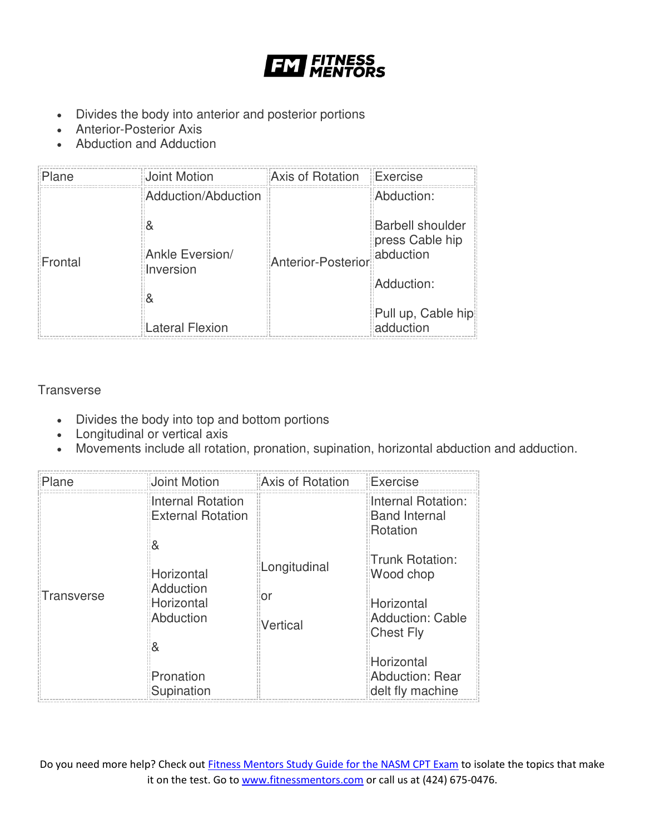![](_page_14_Picture_0.jpeg)

- Divides the body into anterior and posterior portions
- Anterior-Posterior Axis
- Abduction and Adduction

| Plane                | Joint Motion        | Axis of Rotation   | Exercise                                                |
|----------------------|---------------------|--------------------|---------------------------------------------------------|
|                      | Adduction/Abduction |                    | Abduction:                                              |
| Frontal<br>Inversion | Ankle Eversion/     | Anterior-Posterior | <b>Barbell shoulder</b><br>press Cable hip<br>abduction |
|                      |                     |                    | Adduction:                                              |
|                      | Lateral Flexion     |                    | Pull up, Cable hip<br>adduction                         |

**Transverse** 

- Divides the body into top and bottom portions
- Longitudinal or vertical axis
- Movements include all rotation, pronation, supination, horizontal abduction and adduction.

| Plane                   | Joint Motion                                                                                                         | Axis of Rotation                    | Exercise                                                                                                                                                          |
|-------------------------|----------------------------------------------------------------------------------------------------------------------|-------------------------------------|-------------------------------------------------------------------------------------------------------------------------------------------------------------------|
| Transverse              | <b>Internal Rotation</b><br><b>External Rotation</b><br>8<br>Horizontal<br>Adduction<br>Horizontal<br>Abduction<br>& | Longitudinal<br>or<br>Vertical      | Internal Rotation:<br><b>Band Internal</b><br>Rotation<br>Trunk Rotation:<br>Wood chop<br>Horizontal<br><b>Adduction: Cable</b><br><b>Chest Fly</b><br>Horizontal |
| Pronation<br>Supination |                                                                                                                      | Abduction: Rear<br>delt fly machine |                                                                                                                                                                   |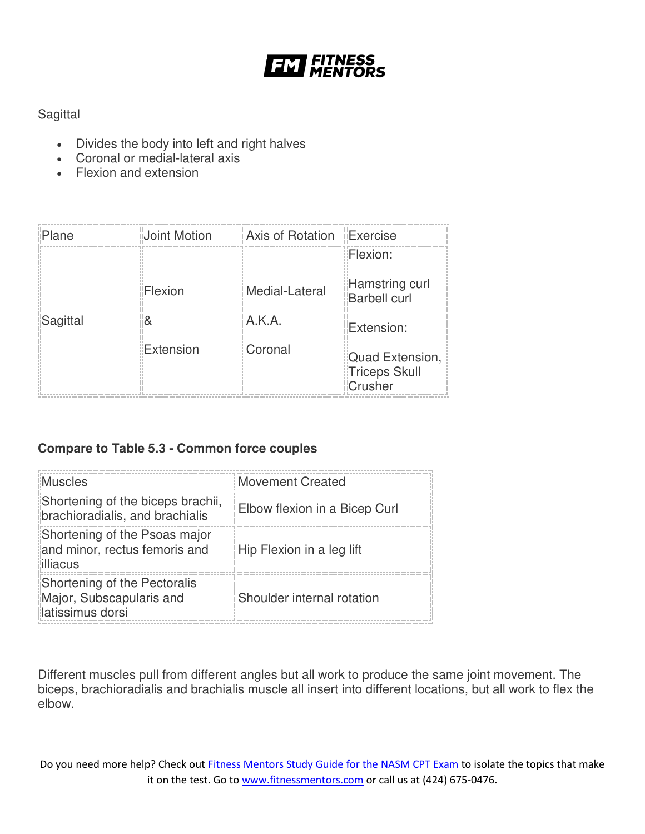![](_page_15_Picture_0.jpeg)

# **Sagittal**

- Divides the body into left and right halves
- Coronal or medial-lateral axis
- Flexion and extension

| Plane    | Joint Motion | Axis of Rotation Exercise |                                                    |
|----------|--------------|---------------------------|----------------------------------------------------|
|          |              |                           | Flexion:                                           |
|          | Flexion      | Medial-Lateral            | Hamstring curl<br><b>Barbell curl</b>              |
| Sagittal | &            | A.K.A.                    | Extension:                                         |
|          | Extension    | Coronal                   | Quad Extension,<br><b>Triceps Skull</b><br>Crusher |

# **Compare to Table 5.3 - Common force couples**

| Muscles                                                                      | Movement Created              |
|------------------------------------------------------------------------------|-------------------------------|
| Shortening of the biceps brachii,<br>brachioradialis, and brachialis         | Elbow flexion in a Bicep Curl |
| Shortening of the Psoas major<br>and minor, rectus femoris and<br>illiacus   | Hip Flexion in a leg lift     |
| Shortening of the Pectoralis<br>Major, Subscapularis and<br>latissimus dorsi | Shoulder internal rotation    |

Different muscles pull from different angles but all work to produce the same joint movement. The biceps, brachioradialis and brachialis muscle all insert into different locations, but all work to flex the elbow.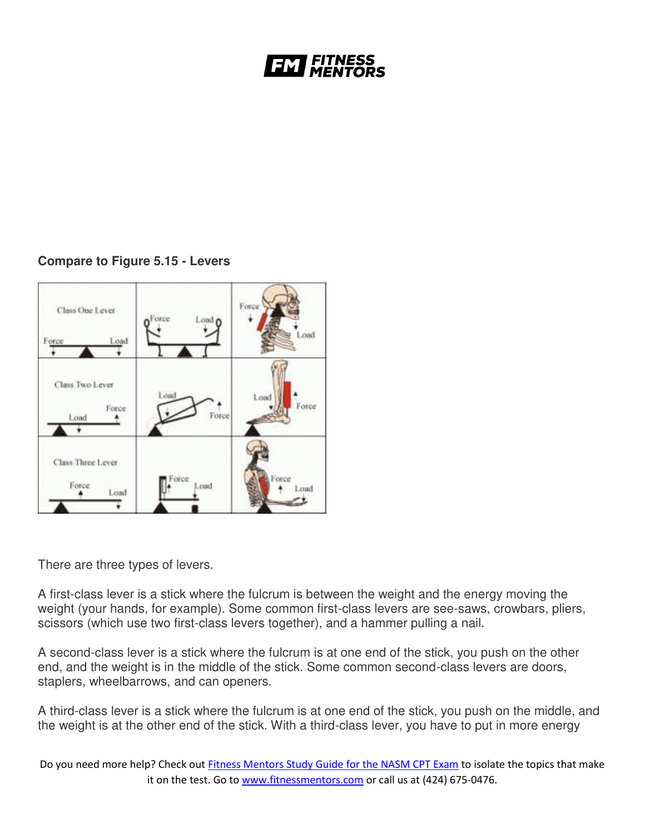# *'ITNESS*

# **Compare to Figure 5.15 - Levers**

![](_page_16_Figure_2.jpeg)

There are three types of levers.

A first-class lever is a stick where the fulcrum is between the weight and the energy moving the weight (your hands, for example). Some common first-class levers are see-saws, crowbars, pliers, scissors (which use two first-class levers together), and a hammer pulling a nail.

A second-class lever is a stick where the fulcrum is at one end of the stick, you push on the other end, and the weight is in the middle of the stick. Some common second-class levers are doors, staplers, wheelbarrows, and can openers.

A third-class lever is a stick where the fulcrum is at one end of the stick, you push on the middle, and the weight is at the other end of the stick. With a third-class lever, you have to put in more energy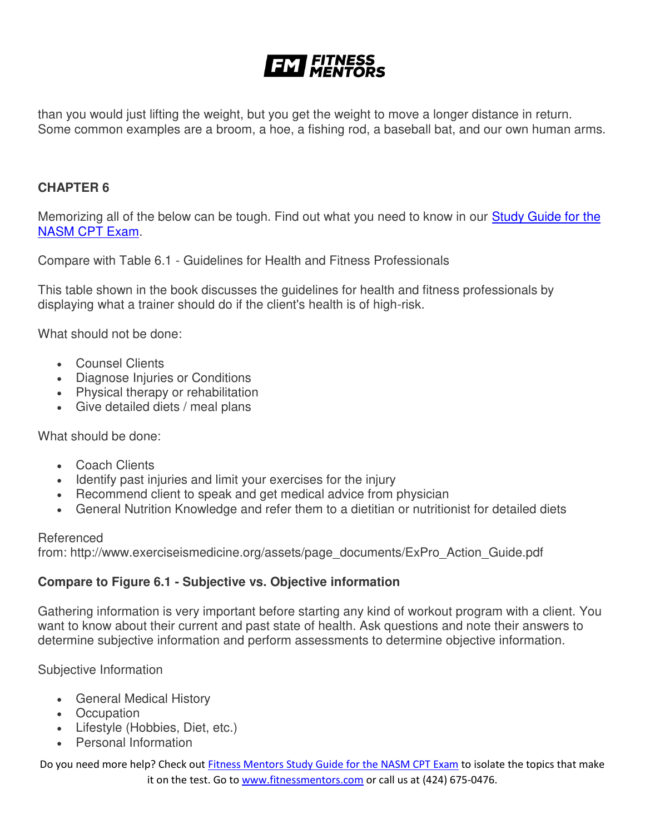# **EXT FITNESS**

than you would just lifting the weight, but you get the weight to move a longer distance in return. Some common examples are a broom, a hoe, a fishing rod, a baseball bat, and our own human arms.

#### **CHAPTER 6**

Memorizing all of the below can be tough. Find out what you need to know in our Study Guide for the [NASM CPT Exam.](https://www.fitnessmentors.com/nasm-cpt-exam-study-guide/)

Compare with Table 6.1 - Guidelines for Health and Fitness Professionals

This table shown in the book discusses the guidelines for health and fitness professionals by displaying what a trainer should do if the client's health is of high-risk.

What should not be done:

- Counsel Clients
- Diagnose Injuries or Conditions
- Physical therapy or rehabilitation
- Give detailed diets / meal plans

What should be done:

- Coach Clients
- Identify past injuries and limit your exercises for the injury
- Recommend client to speak and get medical advice from physician
- General Nutrition Knowledge and refer them to a dietitian or nutritionist for detailed diets

#### Referenced

from: http://www.exerciseismedicine.org/assets/page\_documents/ExPro\_Action\_Guide.pdf

#### **Compare to Figure 6.1 - Subjective vs. Objective information**

Gathering information is very important before starting any kind of workout program with a client. You want to know about their current and past state of health. Ask questions and note their answers to determine subjective information and perform assessments to determine objective information.

Subjective Information

- General Medical History
- Occupation
- Lifestyle (Hobbies, Diet, etc.)
- Personal Information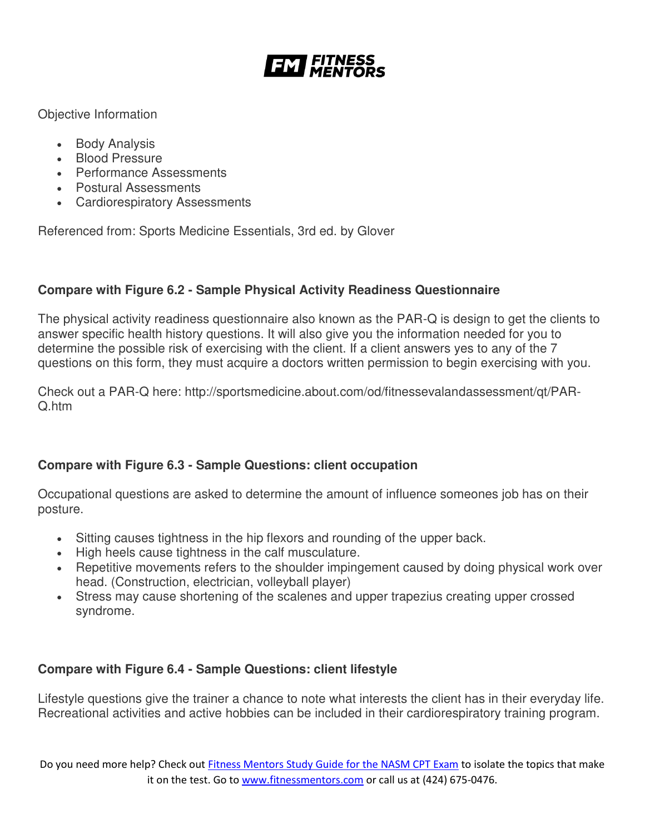![](_page_18_Picture_0.jpeg)

Objective Information

- Body Analysis
- Blood Pressure
- Performance Assessments
- Postural Assessments
- Cardiorespiratory Assessments

Referenced from: Sports Medicine Essentials, 3rd ed. by Glover

# **Compare with Figure 6.2 - Sample Physical Activity Readiness Questionnaire**

The physical activity readiness questionnaire also known as the PAR-Q is design to get the clients to answer specific health history questions. It will also give you the information needed for you to determine the possible risk of exercising with the client. If a client answers yes to any of the 7 questions on this form, they must acquire a doctors written permission to begin exercising with you.

Check out a PAR-Q here: http://sportsmedicine.about.com/od/fitnessevalandassessment/qt/PAR-Q.htm

# **Compare with Figure 6.3 - Sample Questions: client occupation**

Occupational questions are asked to determine the amount of influence someones job has on their posture.

- Sitting causes tightness in the hip flexors and rounding of the upper back.
- High heels cause tightness in the calf musculature.
- Repetitive movements refers to the shoulder impingement caused by doing physical work over head. (Construction, electrician, volleyball player)
- Stress may cause shortening of the scalenes and upper trapezius creating upper crossed syndrome.

# **Compare with Figure 6.4 - Sample Questions: client lifestyle**

Lifestyle questions give the trainer a chance to note what interests the client has in their everyday life. Recreational activities and active hobbies can be included in their cardiorespiratory training program.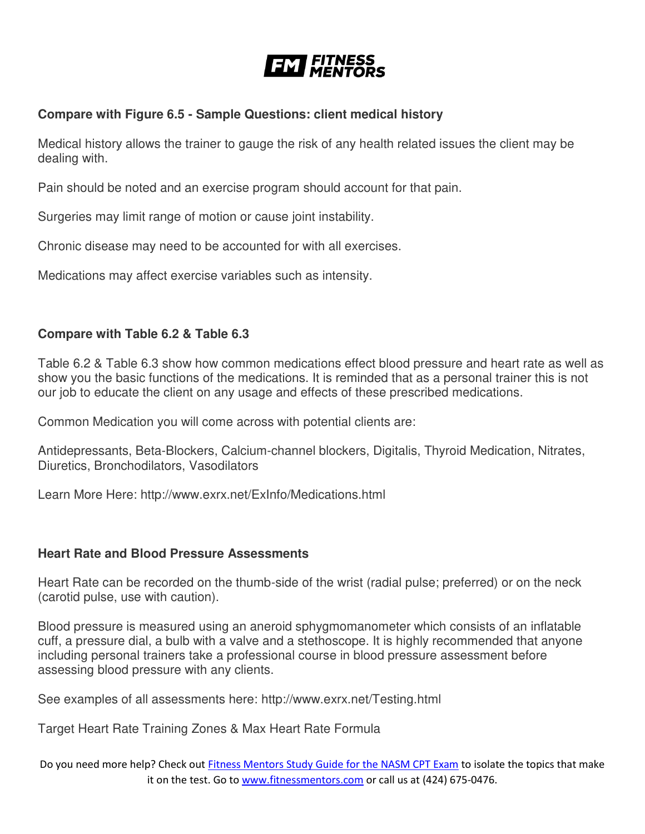![](_page_19_Picture_0.jpeg)

### **Compare with Figure 6.5 - Sample Questions: client medical history**

Medical history allows the trainer to gauge the risk of any health related issues the client may be dealing with.

Pain should be noted and an exercise program should account for that pain.

Surgeries may limit range of motion or cause joint instability.

Chronic disease may need to be accounted for with all exercises.

Medications may affect exercise variables such as intensity.

# **Compare with Table 6.2 & Table 6.3**

Table 6.2 & Table 6.3 show how common medications effect blood pressure and heart rate as well as show you the basic functions of the medications. It is reminded that as a personal trainer this is not our job to educate the client on any usage and effects of these prescribed medications.

Common Medication you will come across with potential clients are:

Antidepressants, Beta-Blockers, Calcium-channel blockers, Digitalis, Thyroid Medication, Nitrates, Diuretics, Bronchodilators, Vasodilators

Learn More Here: http://www.exrx.net/ExInfo/Medications.html

### **Heart Rate and Blood Pressure Assessments**

Heart Rate can be recorded on the thumb-side of the wrist (radial pulse; preferred) or on the neck (carotid pulse, use with caution).

Blood pressure is measured using an aneroid sphygmomanometer which consists of an inflatable cuff, a pressure dial, a bulb with a valve and a stethoscope. It is highly recommended that anyone including personal trainers take a professional course in blood pressure assessment before assessing blood pressure with any clients.

See examples of all assessments here: http://www.exrx.net/Testing.html

Target Heart Rate Training Zones & Max Heart Rate Formula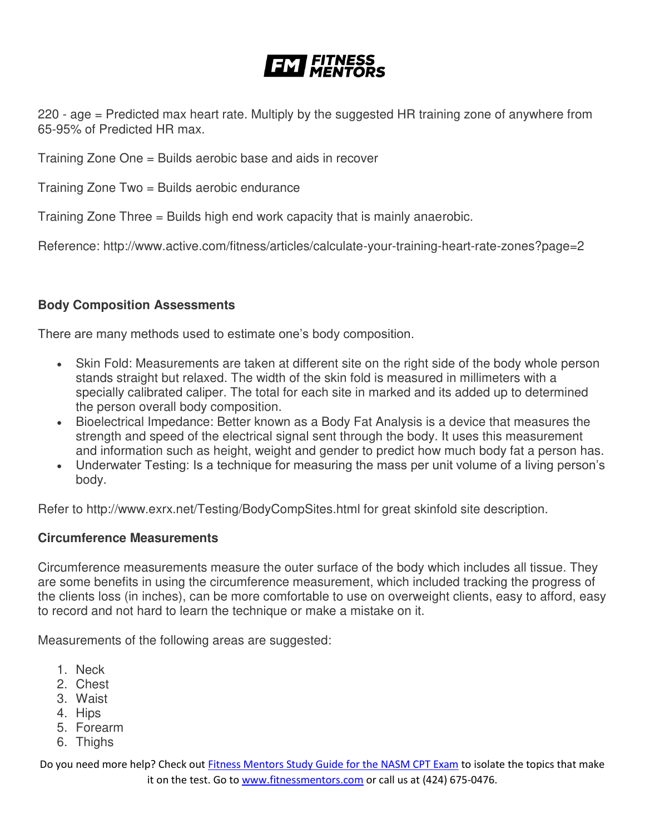220 - age = Predicted max heart rate. Multiply by the suggested HR training zone of anywhere from 65-95% of Predicted HR max.

Training Zone One = Builds aerobic base and aids in recover

Training Zone Two = Builds aerobic endurance

Training Zone Three = Builds high end work capacity that is mainly anaerobic.

Reference: http://www.active.com/fitness/articles/calculate-your-training-heart-rate-zones?page=2

### **Body Composition Assessments**

There are many methods used to estimate one's body composition.

- Skin Fold: Measurements are taken at different site on the right side of the body whole person stands straight but relaxed. The width of the skin fold is measured in millimeters with a specially calibrated caliper. The total for each site in marked and its added up to determined the person overall body composition.
- Bioelectrical Impedance: Better known as a Body Fat Analysis is a device that measures the strength and speed of the electrical signal sent through the body. It uses this measurement and information such as height, weight and gender to predict how much body fat a person has.
- Underwater Testing: Is a technique for measuring the mass per unit volume of a living person's body.

Refer to http://www.exrx.net/Testing/BodyCompSites.html for great skinfold site description.

#### **Circumference Measurements**

Circumference measurements measure the outer surface of the body which includes all tissue. They are some benefits in using the circumference measurement, which included tracking the progress of the clients loss (in inches), can be more comfortable to use on overweight clients, easy to afford, easy to record and not hard to learn the technique or make a mistake on it.

Measurements of the following areas are suggested:

- 1. Neck
- 2. Chest
- 3. Waist
- 4. Hips
- 5. Forearm
- 6. Thighs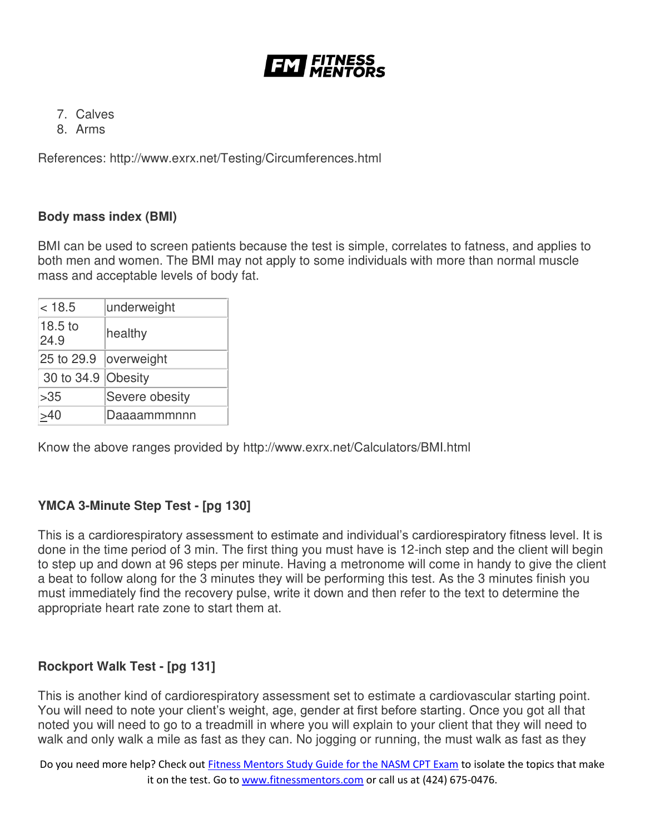![](_page_21_Picture_0.jpeg)

- 7. Calves
- 8. Arms

References: http://www.exrx.net/Testing/Circumferences.html

#### **Body mass index (BMI)**

BMI can be used to screen patients because the test is simple, correlates to fatness, and applies to both men and women. The BMI may not apply to some individuals with more than normal muscle mass and acceptable levels of body fat.

| < 18.5                     | underweight    |
|----------------------------|----------------|
| 18.5 <sub>to</sub><br>24.9 | healthy        |
| 25 to 29.9                 | overweight     |
| 30 to 34.9 Obesity         |                |
| >35                        | Severe obesity |
|                            | Daaaammmnnn    |

Know the above ranges provided by http://www.exrx.net/Calculators/BMI.html

# **YMCA 3-Minute Step Test - [pg 130]**

This is a cardiorespiratory assessment to estimate and individual's cardiorespiratory fitness level. It is done in the time period of 3 min. The first thing you must have is 12-inch step and the client will begin to step up and down at 96 steps per minute. Having a metronome will come in handy to give the client a beat to follow along for the 3 minutes they will be performing this test. As the 3 minutes finish you must immediately find the recovery pulse, write it down and then refer to the text to determine the appropriate heart rate zone to start them at.

### **Rockport Walk Test - [pg 131]**

This is another kind of cardiorespiratory assessment set to estimate a cardiovascular starting point. You will need to note your client's weight, age, gender at first before starting. Once you got all that noted you will need to go to a treadmill in where you will explain to your client that they will need to walk and only walk a mile as fast as they can. No jogging or running, the must walk as fast as they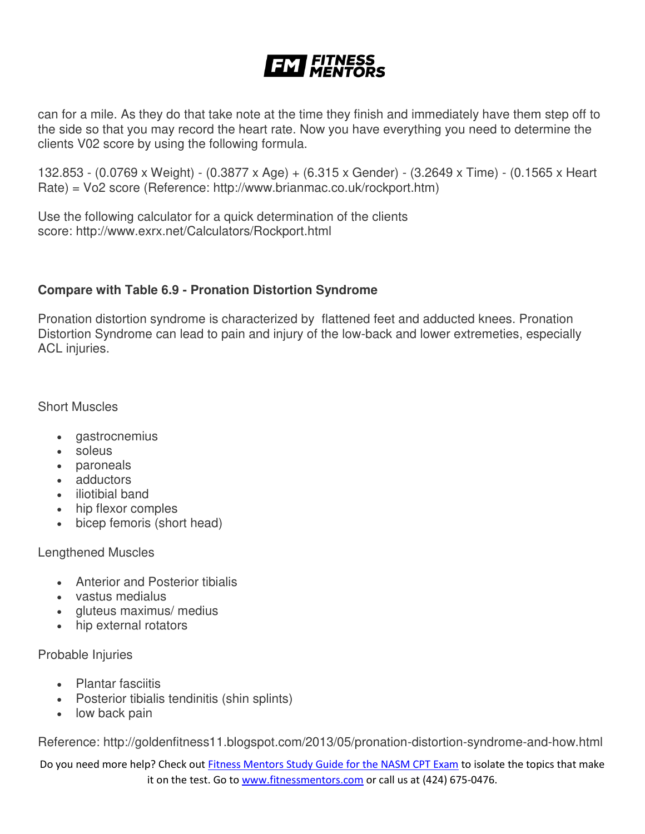can for a mile. As they do that take note at the time they finish and immediately have them step off to the side so that you may record the heart rate. Now you have everything you need to determine the clients V02 score by using the following formula.

132.853 - (0.0769 x Weight) - (0.3877 x Age) + (6.315 x Gender) - (3.2649 x Time) - (0.1565 x Heart Rate) = Vo2 score (Reference: http://www.brianmac.co.uk/rockport.htm)

Use the following calculator for a quick determination of the clients score: http://www.exrx.net/Calculators/Rockport.html

### **Compare with Table 6.9 - Pronation Distortion Syndrome**

Pronation distortion syndrome is characterized by flattened feet and adducted knees. Pronation Distortion Syndrome can lead to pain and injury of the low-back and lower extremeties, especially ACL injuries.

Short Muscles

- gastrocnemius
- soleus
- paroneals
- adductors
- iliotibial band
- hip flexor comples
- bicep femoris (short head)

Lengthened Muscles

- Anterior and Posterior tibialis
- vastus medialus
- gluteus maximus/ medius
- hip external rotators

Probable Injuries

- Plantar fasciitis
- Posterior tibialis tendinitis (shin splints)
- low back pain

Reference: http://goldenfitness11.blogspot.com/2013/05/pronation-distortion-syndrome-and-how.html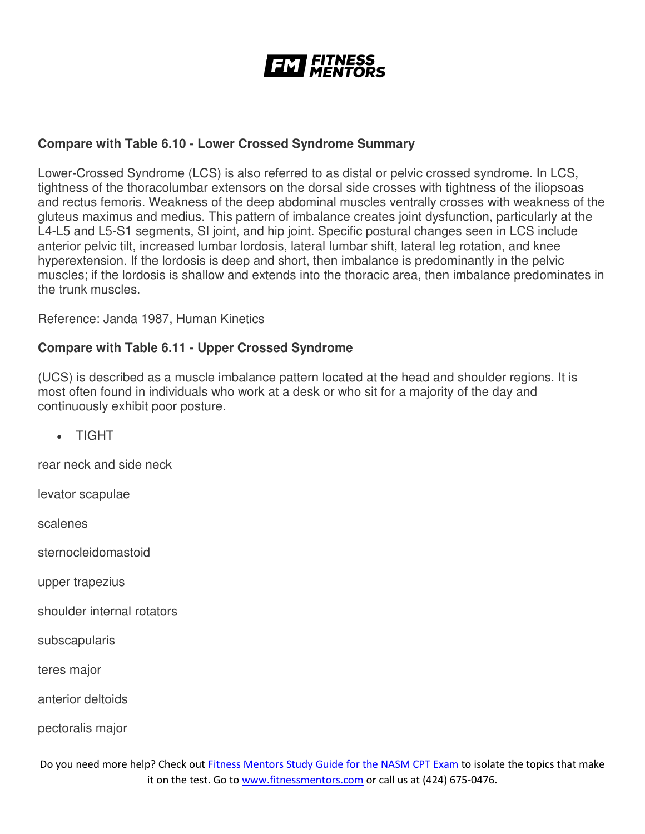![](_page_23_Picture_0.jpeg)

#### **Compare with Table 6.10 - Lower Crossed Syndrome Summary**

Lower-Crossed Syndrome (LCS) is also referred to as distal or pelvic crossed syndrome. In LCS, tightness of the thoracolumbar extensors on the dorsal side crosses with tightness of the iliopsoas and rectus femoris. Weakness of the deep abdominal muscles ventrally crosses with weakness of the gluteus maximus and medius. This pattern of imbalance creates joint dysfunction, particularly at the L4-L5 and L5-S1 segments, SI joint, and hip joint. Specific postural changes seen in LCS include anterior pelvic tilt, increased lumbar lordosis, lateral lumbar shift, lateral leg rotation, and knee hyperextension. If the lordosis is deep and short, then imbalance is predominantly in the pelvic muscles; if the lordosis is shallow and extends into the thoracic area, then imbalance predominates in the trunk muscles.

Reference: Janda 1987, Human Kinetics

#### **Compare with Table 6.11 - Upper Crossed Syndrome**

(UCS) is described as a muscle imbalance pattern located at the head and shoulder regions. It is most often found in individuals who work at a desk or who sit for a majority of the day and continuously exhibit poor posture.

TIGHT

rear neck and side neck

levator scapulae

scalenes

sternocleidomastoid

upper trapezius

shoulder internal rotators

subscapularis

teres major

anterior deltoids

pectoralis major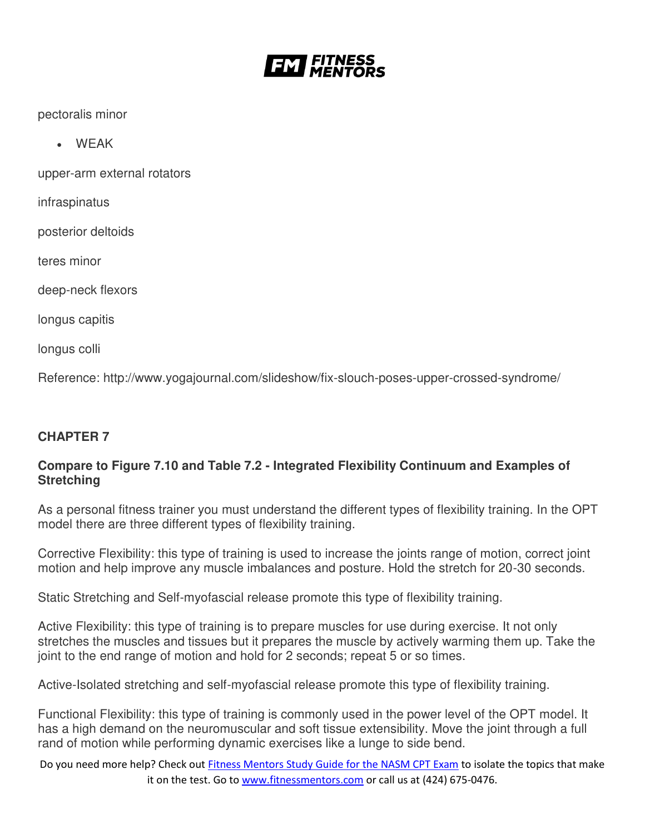![](_page_24_Picture_0.jpeg)

pectoralis minor

WEAK

upper-arm external rotators

infraspinatus

posterior deltoids

teres minor

deep-neck flexors

longus capitis

longus colli

Reference: http://www.yogajournal.com/slideshow/fix-slouch-poses-upper-crossed-syndrome/

### **CHAPTER 7**

### **Compare to Figure 7.10 and Table 7.2 - Integrated Flexibility Continuum and Examples of Stretching**

As a personal fitness trainer you must understand the different types of flexibility training. In the OPT model there are three different types of flexibility training.

Corrective Flexibility: this type of training is used to increase the joints range of motion, correct joint motion and help improve any muscle imbalances and posture. Hold the stretch for 20-30 seconds.

Static Stretching and Self-myofascial release promote this type of flexibility training.

Active Flexibility: this type of training is to prepare muscles for use during exercise. It not only stretches the muscles and tissues but it prepares the muscle by actively warming them up. Take the joint to the end range of motion and hold for 2 seconds; repeat 5 or so times.

Active-Isolated stretching and self-myofascial release promote this type of flexibility training.

Functional Flexibility: this type of training is commonly used in the power level of the OPT model. It has a high demand on the neuromuscular and soft tissue extensibility. Move the joint through a full rand of motion while performing dynamic exercises like a lunge to side bend.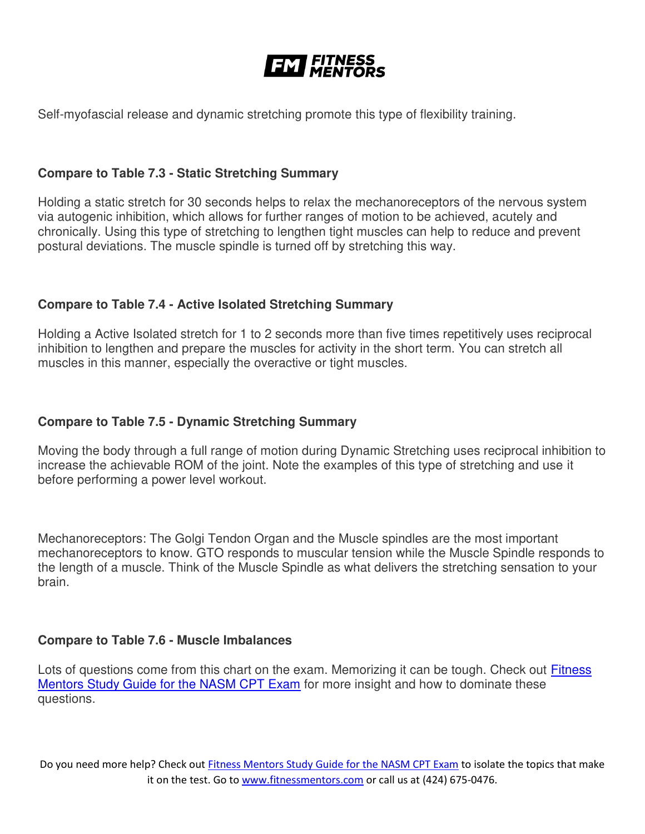![](_page_25_Picture_0.jpeg)

Self-myofascial release and dynamic stretching promote this type of flexibility training.

#### **Compare to Table 7.3 - Static Stretching Summary**

Holding a static stretch for 30 seconds helps to relax the mechanoreceptors of the nervous system via autogenic inhibition, which allows for further ranges of motion to be achieved, acutely and chronically. Using this type of stretching to lengthen tight muscles can help to reduce and prevent postural deviations. The muscle spindle is turned off by stretching this way.

#### **Compare to Table 7.4 - Active Isolated Stretching Summary**

Holding a Active Isolated stretch for 1 to 2 seconds more than five times repetitively uses reciprocal inhibition to lengthen and prepare the muscles for activity in the short term. You can stretch all muscles in this manner, especially the overactive or tight muscles.

### **Compare to Table 7.5 - Dynamic Stretching Summary**

Moving the body through a full range of motion during Dynamic Stretching uses reciprocal inhibition to increase the achievable ROM of the joint. Note the examples of this type of stretching and use it before performing a power level workout.

Mechanoreceptors: The Golgi Tendon Organ and the Muscle spindles are the most important mechanoreceptors to know. GTO responds to muscular tension while the Muscle Spindle responds to the length of a muscle. Think of the Muscle Spindle as what delivers the stretching sensation to your brain.

#### **Compare to Table 7.6 - Muscle Imbalances**

Lots of questions come from this chart on the exam. Memorizing it can be tough. Check out Fitness [Mentors Study Guide for the NASM CPT Exam](https://www.fitnessmentors.com/nasm-cpt-exam-study-guide/) for more insight and how to dominate these questions.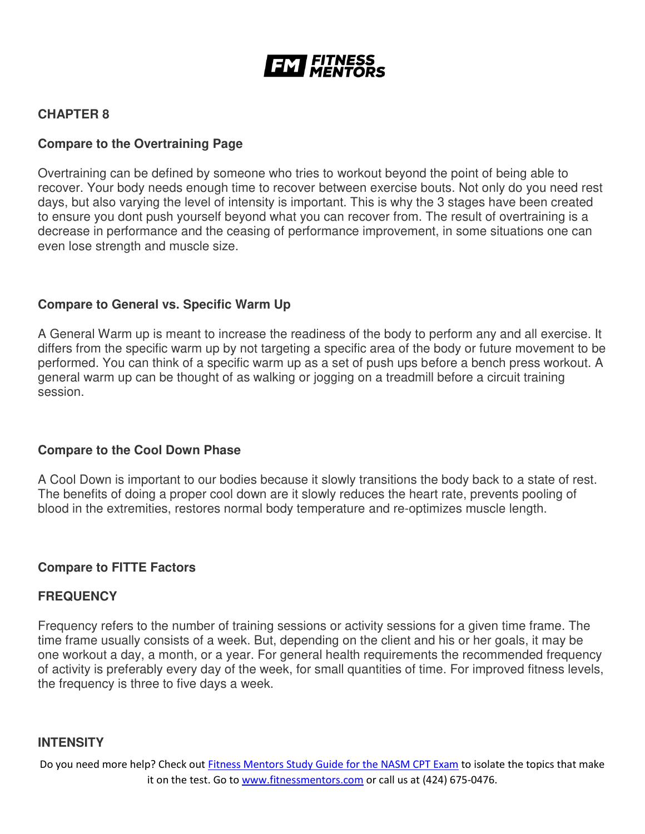![](_page_26_Picture_0.jpeg)

# **CHAPTER 8**

#### **Compare to the Overtraining Page**

Overtraining can be defined by someone who tries to workout beyond the point of being able to recover. Your body needs enough time to recover between exercise bouts. Not only do you need rest days, but also varying the level of intensity is important. This is why the 3 stages have been created to ensure you dont push yourself beyond what you can recover from. The result of overtraining is a decrease in performance and the ceasing of performance improvement, in some situations one can even lose strength and muscle size.

#### **Compare to General vs. Specific Warm Up**

A General Warm up is meant to increase the readiness of the body to perform any and all exercise. It differs from the specific warm up by not targeting a specific area of the body or future movement to be performed. You can think of a specific warm up as a set of push ups before a bench press workout. A general warm up can be thought of as walking or jogging on a treadmill before a circuit training session.

#### **Compare to the Cool Down Phase**

A Cool Down is important to our bodies because it slowly transitions the body back to a state of rest. The benefits of doing a proper cool down are it slowly reduces the heart rate, prevents pooling of blood in the extremities, restores normal body temperature and re-optimizes muscle length.

#### **Compare to FITTE Factors**

#### **FREQUENCY**

Frequency refers to the number of training sessions or activity sessions for a given time frame. The time frame usually consists of a week. But, depending on the client and his or her goals, it may be one workout a day, a month, or a year. For general health requirements the recommended frequency of activity is preferably every day of the week, for small quantities of time. For improved fitness levels, the frequency is three to five days a week.

#### **INTENSITY**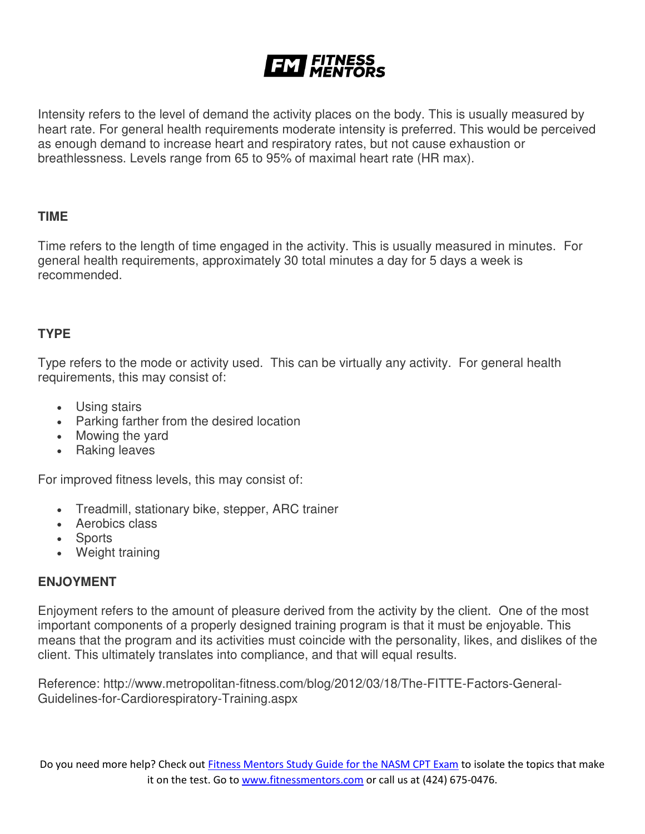Intensity refers to the level of demand the activity places on the body. This is usually measured by heart rate. For general health requirements moderate intensity is preferred. This would be perceived as enough demand to increase heart and respiratory rates, but not cause exhaustion or breathlessness. Levels range from 65 to 95% of maximal heart rate (HR max).

#### **TIME**

Time refers to the length of time engaged in the activity. This is usually measured in minutes. For general health requirements, approximately 30 total minutes a day for 5 days a week is recommended.

### **TYPE**

Type refers to the mode or activity used. This can be virtually any activity. For general health requirements, this may consist of:

- Using stairs
- Parking farther from the desired location
- Mowing the yard
- Raking leaves

For improved fitness levels, this may consist of:

- Treadmill, stationary bike, stepper, ARC trainer
- Aerobics class
- Sports
- Weight training

### **ENJOYMENT**

Enjoyment refers to the amount of pleasure derived from the activity by the client. One of the most important components of a properly designed training program is that it must be enjoyable. This means that the program and its activities must coincide with the personality, likes, and dislikes of the client. This ultimately translates into compliance, and that will equal results.

Reference: http://www.metropolitan-fitness.com/blog/2012/03/18/The-FITTE-Factors-General-Guidelines-for-Cardiorespiratory-Training.aspx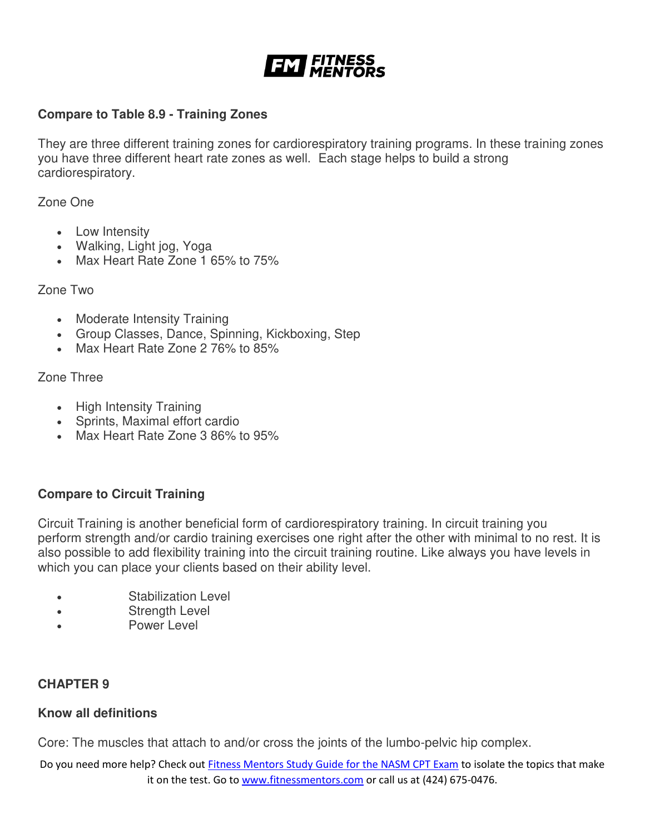![](_page_28_Picture_0.jpeg)

### **Compare to Table 8.9 - Training Zones**

They are three different training zones for cardiorespiratory training programs. In these training zones you have three different heart rate zones as well. Each stage helps to build a strong cardiorespiratory.

Zone One

- Low Intensity
- Walking, Light jog, Yoga
- Max Heart Rate Zone 1 65% to 75%

#### Zone Two

- Moderate Intensity Training
- Group Classes, Dance, Spinning, Kickboxing, Step
- Max Heart Rate Zone 2 76% to 85%

Zone Three

- High Intensity Training
- Sprints, Maximal effort cardio
- Max Heart Rate Zone 3 86% to 95%

### **Compare to Circuit Training**

Circuit Training is another beneficial form of cardiorespiratory training. In circuit training you perform strength and/or cardio training exercises one right after the other with minimal to no rest. It is also possible to add flexibility training into the circuit training routine. Like always you have levels in which you can place your clients based on their ability level.

- Stabilization Level
- Strength Level
- Power Level

### **CHAPTER 9**

#### **Know all definitions**

Core: The muscles that attach to and/or cross the joints of the lumbo-pelvic hip complex.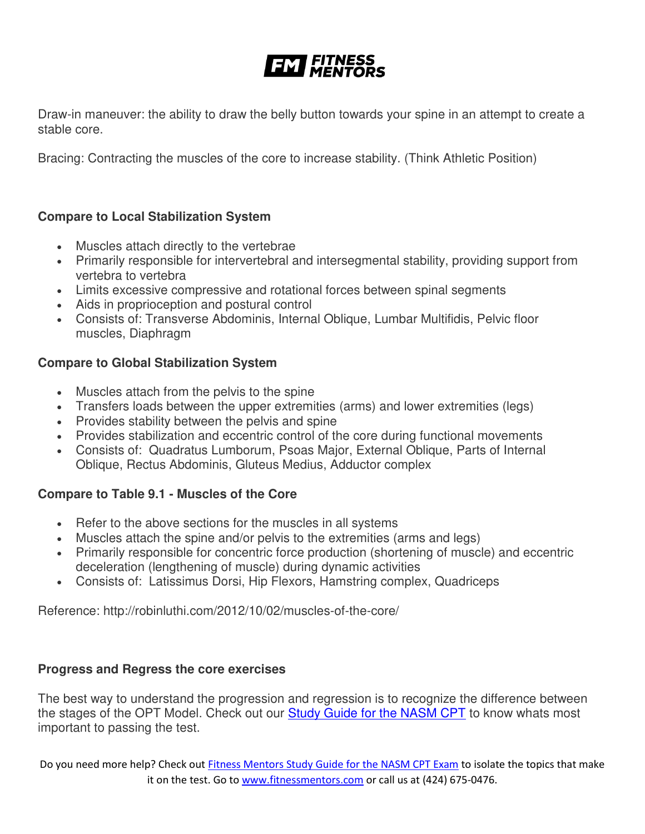Draw-in maneuver: the ability to draw the belly button towards your spine in an attempt to create a stable core.

Bracing: Contracting the muscles of the core to increase stability. (Think Athletic Position)

# **Compare to Local Stabilization System**

- Muscles attach directly to the vertebrae
- Primarily responsible for intervertebral and intersegmental stability, providing support from vertebra to vertebra
- Limits excessive compressive and rotational forces between spinal segments
- Aids in proprioception and postural control
- Consists of: Transverse Abdominis, Internal Oblique, Lumbar Multifidis, Pelvic floor muscles, Diaphragm

# **Compare to Global Stabilization System**

- Muscles attach from the pelvis to the spine
- Transfers loads between the upper extremities (arms) and lower extremities (legs)
- Provides stability between the pelvis and spine
- Provides stabilization and eccentric control of the core during functional movements
- Consists of: Quadratus Lumborum, Psoas Major, External Oblique, Parts of Internal Oblique, Rectus Abdominis, Gluteus Medius, Adductor complex

# **Compare to Table 9.1 - Muscles of the Core**

- Refer to the above sections for the muscles in all systems
- Muscles attach the spine and/or pelvis to the extremities (arms and legs)
- Primarily responsible for concentric force production (shortening of muscle) and eccentric deceleration (lengthening of muscle) during dynamic activities
- Consists of: Latissimus Dorsi, Hip Flexors, Hamstring complex, Quadriceps

Reference: http://robinluthi.com/2012/10/02/muscles-of-the-core/

# **Progress and Regress the core exercises**

The best way to understand the progression and regression is to recognize the difference between the stages of the OPT Model. Check out our **Study Guide for the NASM CPT** to know whats most important to passing the test.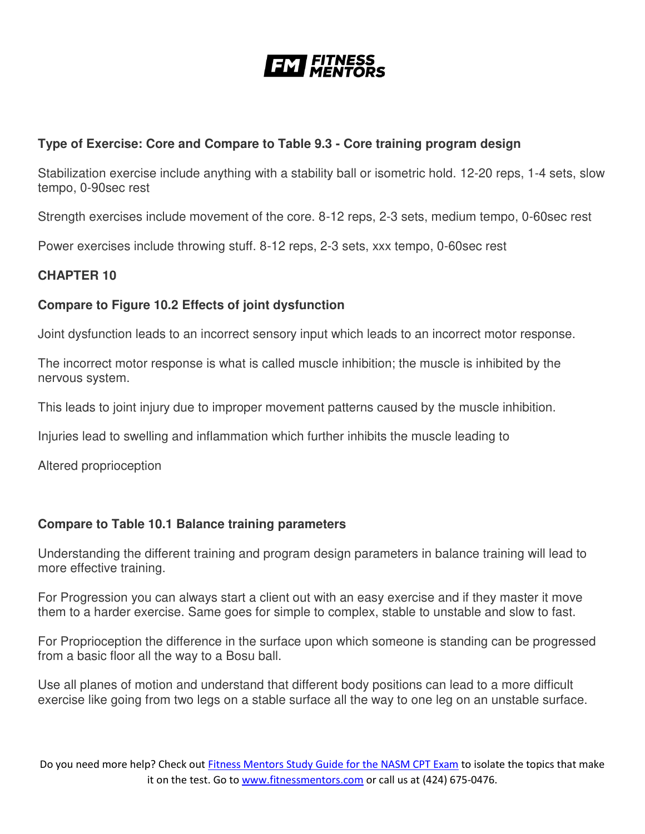![](_page_30_Picture_0.jpeg)

# **Type of Exercise: Core and Compare to Table 9.3 - Core training program design**

Stabilization exercise include anything with a stability ball or isometric hold. 12-20 reps, 1-4 sets, slow tempo, 0-90sec rest

Strength exercises include movement of the core. 8-12 reps, 2-3 sets, medium tempo, 0-60sec rest

Power exercises include throwing stuff. 8-12 reps, 2-3 sets, xxx tempo, 0-60sec rest

### **CHAPTER 10**

# **Compare to Figure 10.2 Effects of joint dysfunction**

Joint dysfunction leads to an incorrect sensory input which leads to an incorrect motor response.

The incorrect motor response is what is called muscle inhibition; the muscle is inhibited by the nervous system.

This leads to joint injury due to improper movement patterns caused by the muscle inhibition.

Injuries lead to swelling and inflammation which further inhibits the muscle leading to

Altered proprioception

### **Compare to Table 10.1 Balance training parameters**

Understanding the different training and program design parameters in balance training will lead to more effective training.

For Progression you can always start a client out with an easy exercise and if they master it move them to a harder exercise. Same goes for simple to complex, stable to unstable and slow to fast.

For Proprioception the difference in the surface upon which someone is standing can be progressed from a basic floor all the way to a Bosu ball.

Use all planes of motion and understand that different body positions can lead to a more difficult exercise like going from two legs on a stable surface all the way to one leg on an unstable surface.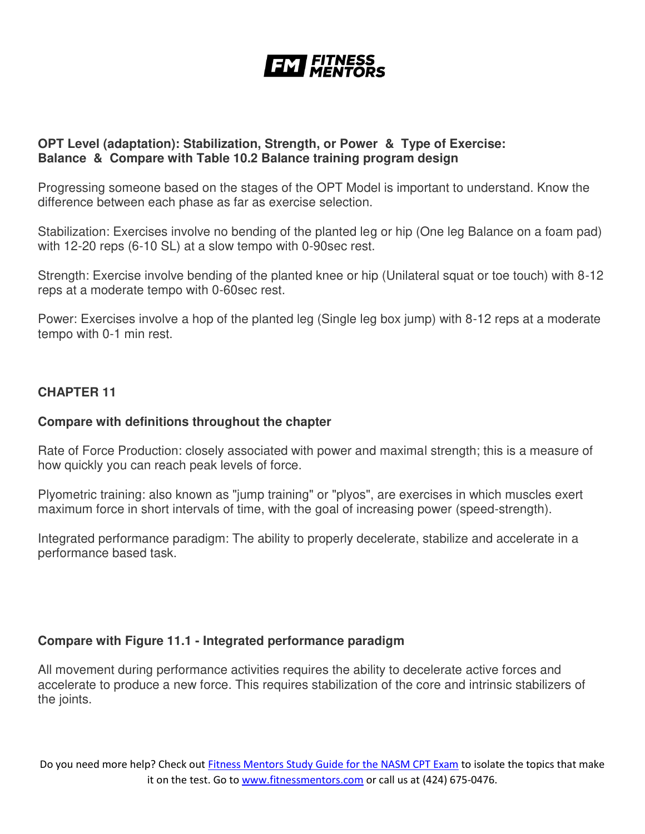![](_page_31_Picture_0.jpeg)

#### **OPT Level (adaptation): Stabilization, Strength, or Power & Type of Exercise: Balance & Compare with Table 10.2 Balance training program design**

Progressing someone based on the stages of the OPT Model is important to understand. Know the difference between each phase as far as exercise selection.

Stabilization: Exercises involve no bending of the planted leg or hip (One leg Balance on a foam pad) with 12-20 reps (6-10 SL) at a slow tempo with 0-90sec rest.

Strength: Exercise involve bending of the planted knee or hip (Unilateral squat or toe touch) with 8-12 reps at a moderate tempo with 0-60sec rest.

Power: Exercises involve a hop of the planted leg (Single leg box jump) with 8-12 reps at a moderate tempo with 0-1 min rest.

### **CHAPTER 11**

#### **Compare with definitions throughout the chapter**

Rate of Force Production: closely associated with power and maximal strength; this is a measure of how quickly you can reach peak levels of force.

Plyometric training: also known as "jump training" or "plyos", are exercises in which muscles exert maximum force in short intervals of time, with the goal of increasing power (speed-strength).

Integrated performance paradigm: The ability to properly decelerate, stabilize and accelerate in a performance based task.

### **Compare with Figure 11.1 - Integrated performance paradigm**

All movement during performance activities requires the ability to decelerate active forces and accelerate to produce a new force. This requires stabilization of the core and intrinsic stabilizers of the joints.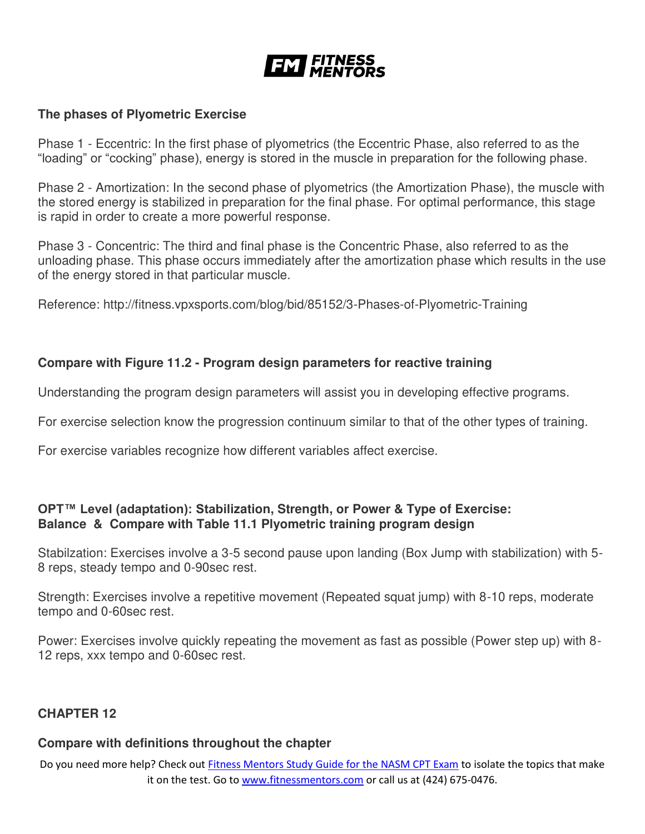![](_page_32_Picture_0.jpeg)

#### **The phases of Plyometric Exercise**

Phase 1 - Eccentric: In the first phase of plyometrics (the Eccentric Phase, also referred to as the "loading" or "cocking" phase), energy is stored in the muscle in preparation for the following phase.

Phase 2 - Amortization: In the second phase of plyometrics (the Amortization Phase), the muscle with the stored energy is stabilized in preparation for the final phase. For optimal performance, this stage is rapid in order to create a more powerful response.

Phase 3 - Concentric: The third and final phase is the Concentric Phase, also referred to as the unloading phase. This phase occurs immediately after the amortization phase which results in the use of the energy stored in that particular muscle.

Reference: http://fitness.vpxsports.com/blog/bid/85152/3-Phases-of-Plyometric-Training

#### **Compare with Figure 11.2 - Program design parameters for reactive training**

Understanding the program design parameters will assist you in developing effective programs.

For exercise selection know the progression continuum similar to that of the other types of training.

For exercise variables recognize how different variables affect exercise.

### **OPT™ Level (adaptation): Stabilization, Strength, or Power & Type of Exercise: Balance & Compare with Table 11.1 Plyometric training program design**

Stabilzation: Exercises involve a 3-5 second pause upon landing (Box Jump with stabilization) with 5- 8 reps, steady tempo and 0-90sec rest.

Strength: Exercises involve a repetitive movement (Repeated squat jump) with 8-10 reps, moderate tempo and 0-60sec rest.

Power: Exercises involve quickly repeating the movement as fast as possible (Power step up) with 8- 12 reps, xxx tempo and 0-60sec rest.

#### **CHAPTER 12**

#### **Compare with definitions throughout the chapter**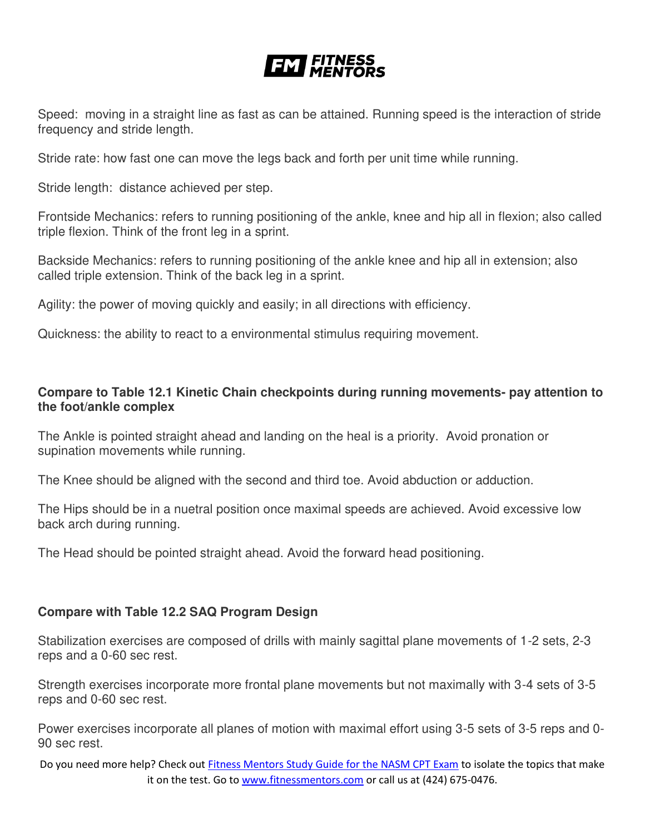Speed: moving in a straight line as fast as can be attained. Running speed is the interaction of stride frequency and stride length.

Stride rate: how fast one can move the legs back and forth per unit time while running.

Stride length: distance achieved per step.

Frontside Mechanics: refers to running positioning of the ankle, knee and hip all in flexion; also called triple flexion. Think of the front leg in a sprint.

Backside Mechanics: refers to running positioning of the ankle knee and hip all in extension; also called triple extension. Think of the back leg in a sprint.

Agility: the power of moving quickly and easily; in all directions with efficiency.

Quickness: the ability to react to a environmental stimulus requiring movement.

# **Compare to Table 12.1 Kinetic Chain checkpoints during running movements- pay attention to the foot/ankle complex**

The Ankle is pointed straight ahead and landing on the heal is a priority. Avoid pronation or supination movements while running.

The Knee should be aligned with the second and third toe. Avoid abduction or adduction.

The Hips should be in a nuetral position once maximal speeds are achieved. Avoid excessive low back arch during running.

The Head should be pointed straight ahead. Avoid the forward head positioning.

### **Compare with Table 12.2 SAQ Program Design**

Stabilization exercises are composed of drills with mainly sagittal plane movements of 1-2 sets, 2-3 reps and a 0-60 sec rest.

Strength exercises incorporate more frontal plane movements but not maximally with 3-4 sets of 3-5 reps and 0-60 sec rest.

Power exercises incorporate all planes of motion with maximal effort using 3-5 sets of 3-5 reps and 0- 90 sec rest.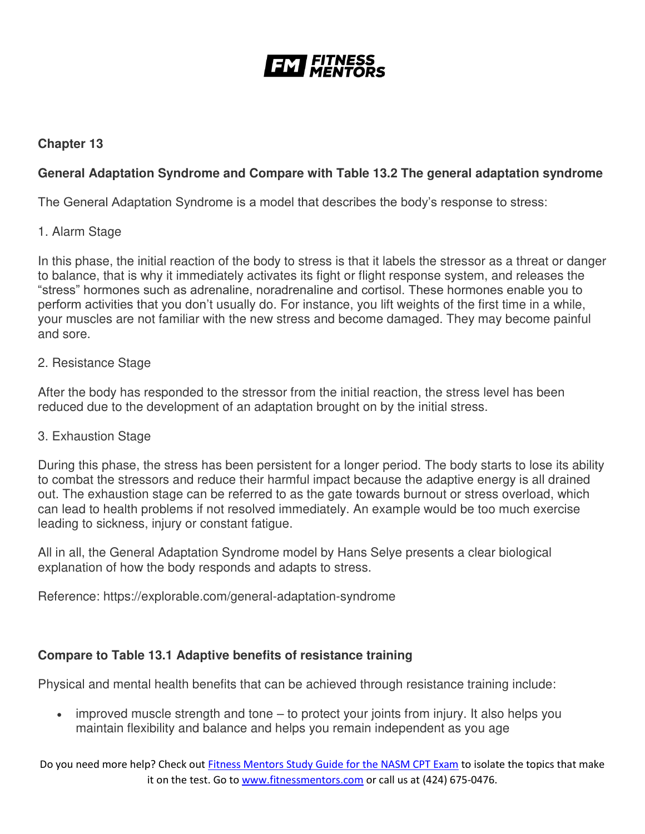![](_page_34_Picture_0.jpeg)

# **Chapter 13**

# **General Adaptation Syndrome and Compare with Table 13.2 The general adaptation syndrome**

The General Adaptation Syndrome is a model that describes the body's response to stress:

#### 1. Alarm Stage

In this phase, the initial reaction of the body to stress is that it labels the stressor as a threat or danger to balance, that is why it immediately activates its fight or flight response system, and releases the "stress" hormones such as adrenaline, noradrenaline and cortisol. These hormones enable you to perform activities that you don't usually do. For instance, you lift weights of the first time in a while, your muscles are not familiar with the new stress and become damaged. They may become painful and sore.

#### 2. Resistance Stage

After the body has responded to the stressor from the initial reaction, the stress level has been reduced due to the development of an adaptation brought on by the initial stress.

#### 3. Exhaustion Stage

During this phase, the stress has been persistent for a longer period. The body starts to lose its ability to combat the stressors and reduce their harmful impact because the adaptive energy is all drained out. The exhaustion stage can be referred to as the gate towards burnout or stress overload, which can lead to health problems if not resolved immediately. An example would be too much exercise leading to sickness, injury or constant fatigue.

All in all, the General Adaptation Syndrome model by Hans Selye presents a clear biological explanation of how the body responds and adapts to stress.

Reference: https://explorable.com/general-adaptation-syndrome

### **Compare to Table 13.1 Adaptive benefits of resistance training**

Physical and mental health benefits that can be achieved through resistance training include:

 improved muscle strength and tone – to protect your joints from injury. It also helps you maintain flexibility and balance and helps you remain independent as you age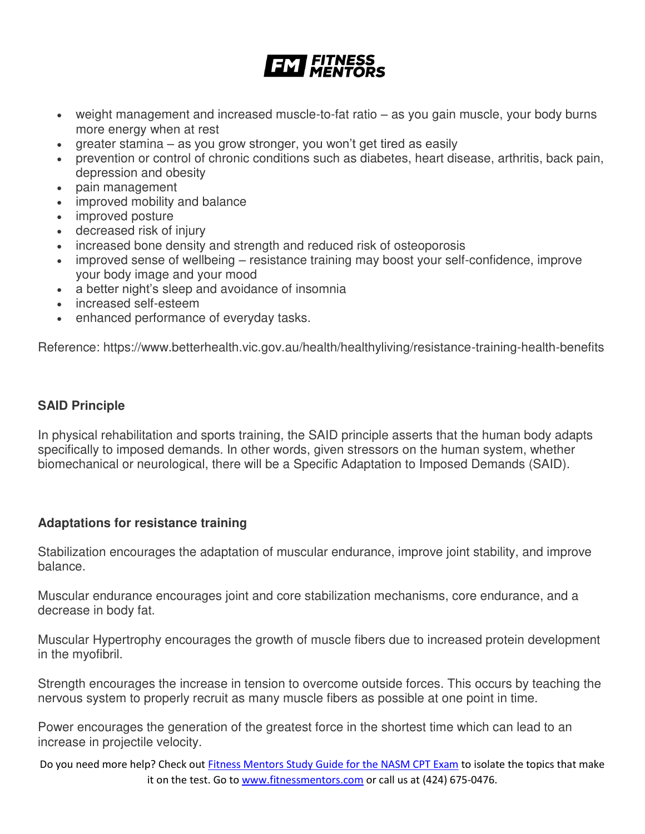- weight management and increased muscle-to-fat ratio as you gain muscle, your body burns more energy when at rest
- greater stamina as you grow stronger, you won't get tired as easily
- prevention or control of chronic conditions such as diabetes, heart disease, arthritis, back pain, depression and obesity
- pain management
- improved mobility and balance
- improved posture
- decreased risk of injury
- increased bone density and strength and reduced risk of osteoporosis
- improved sense of wellbeing resistance training may boost your self-confidence, improve your body image and your mood
- a better night's sleep and avoidance of insomnia
- increased self-esteem
- enhanced performance of everyday tasks.

Reference: https://www.betterhealth.vic.gov.au/health/healthyliving/resistance-training-health-benefits

### **SAID Principle**

In physical rehabilitation and sports training, the SAID principle asserts that the human body adapts specifically to imposed demands. In other words, given stressors on the human system, whether biomechanical or neurological, there will be a Specific Adaptation to Imposed Demands (SAID).

### **Adaptations for resistance training**

Stabilization encourages the adaptation of muscular endurance, improve joint stability, and improve balance.

Muscular endurance encourages joint and core stabilization mechanisms, core endurance, and a decrease in body fat.

Muscular Hypertrophy encourages the growth of muscle fibers due to increased protein development in the myofibril.

Strength encourages the increase in tension to overcome outside forces. This occurs by teaching the nervous system to properly recruit as many muscle fibers as possible at one point in time.

Power encourages the generation of the greatest force in the shortest time which can lead to an increase in projectile velocity.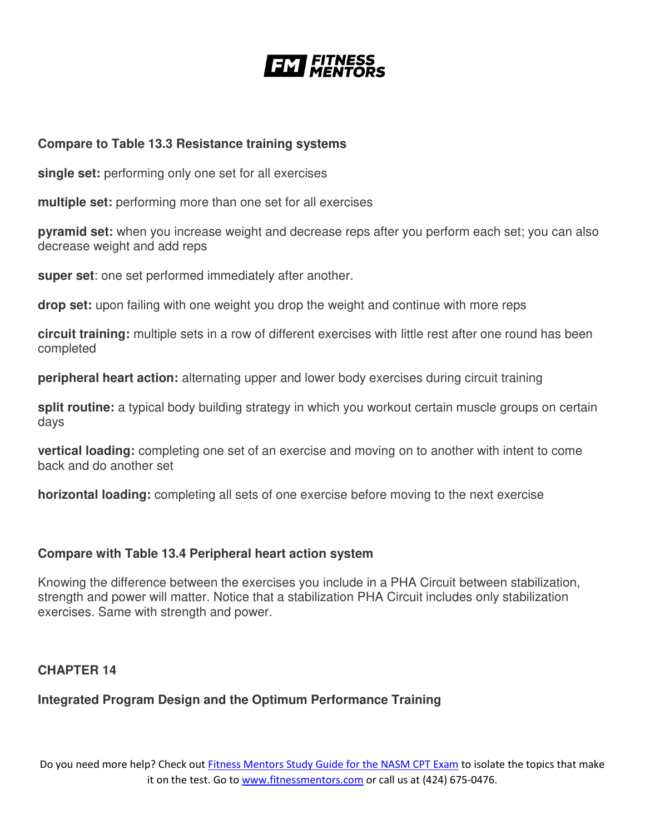![](_page_36_Picture_0.jpeg)

#### **Compare to Table 13.3 Resistance training systems**

**single set:** performing only one set for all exercises

**multiple set:** performing more than one set for all exercises

**pyramid set:** when you increase weight and decrease reps after you perform each set; you can also decrease weight and add reps

**super set**: one set performed immediately after another.

**drop set:** upon failing with one weight you drop the weight and continue with more reps

**circuit training:** multiple sets in a row of different exercises with little rest after one round has been completed

**peripheral heart action:** alternating upper and lower body exercises during circuit training

**split routine:** a typical body building strategy in which you workout certain muscle groups on certain days

**vertical loading:** completing one set of an exercise and moving on to another with intent to come back and do another set

**horizontal loading:** completing all sets of one exercise before moving to the next exercise

#### **Compare with Table 13.4 Peripheral heart action system**

Knowing the difference between the exercises you include in a PHA Circuit between stabilization, strength and power will matter. Notice that a stabilization PHA Circuit includes only stabilization exercises. Same with strength and power.

#### **CHAPTER 14**

# **Integrated Program Design and the Optimum Performance Training**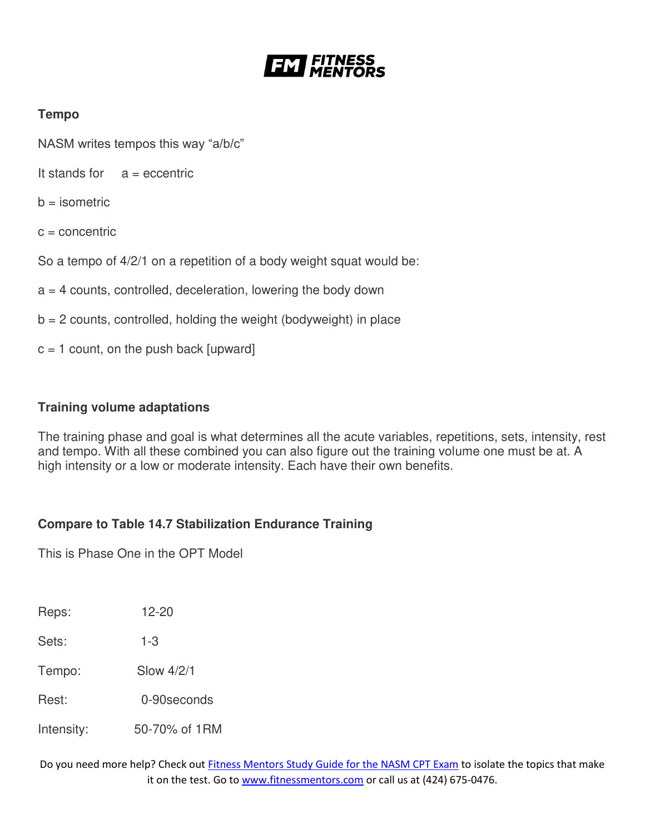![](_page_37_Picture_0.jpeg)

# **Tempo**

NASM writes tempos this way "a/b/c"

It stands for  $a =$  eccentric

 $b =$  isometric

 $c =$  concentric

So a tempo of 4/2/1 on a repetition of a body weight squat would be:

 $a = 4$  counts, controlled, deceleration, lowering the body down

 $b = 2$  counts, controlled, holding the weight (bodyweight) in place

 $c = 1$  count, on the push back [upward]

#### **Training volume adaptations**

The training phase and goal is what determines all the acute variables, repetitions, sets, intensity, rest and tempo. With all these combined you can also figure out the training volume one must be at. A high intensity or a low or moderate intensity. Each have their own benefits.

### **Compare to Table 14.7 Stabilization Endurance Training**

This is Phase One in the OPT Model

Reps: 12-20

Sets: 1-3

Tempo: Slow 4/2/1

Rest: 0-90seconds

Intensity: 50-70% of 1RM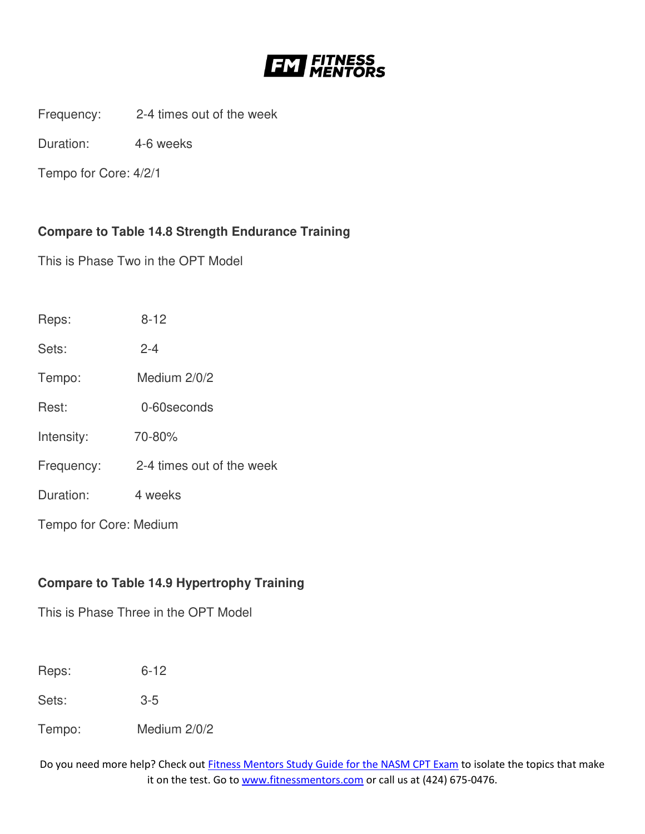![](_page_38_Picture_0.jpeg)

Frequency: 2-4 times out of the week

Duration: 4-6 weeks

Tempo for Core: 4/2/1

# **Compare to Table 14.8 Strength Endurance Training**

This is Phase Two in the OPT Model

| Reps:                  | $8 - 12$                  |  |
|------------------------|---------------------------|--|
| Sets:                  | $2 - 4$                   |  |
| Tempo:                 | Medium 2/0/2              |  |
| Rest:                  | 0-60 seconds              |  |
| Intensity:             | 70-80%                    |  |
| Frequency:             | 2-4 times out of the week |  |
| Duration:              | 4 weeks                   |  |
| Tempo for Core: Medium |                           |  |

# **Compare to Table 14.9 Hypertrophy Training**

This is Phase Three in the OPT Model

Reps: 6-12

Sets: 3-5

Tempo: Medium 2/0/2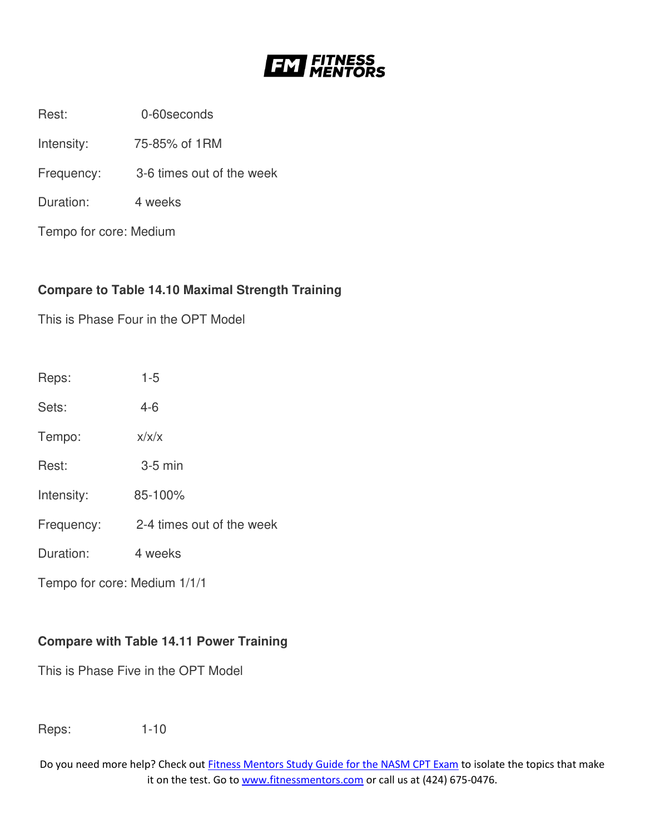![](_page_39_Picture_0.jpeg)

Rest: 0-60seconds

Intensity: 75-85% of 1RM

Frequency: 3-6 times out of the week

Duration: 4 weeks

Tempo for core: Medium

# **Compare to Table 14.10 Maximal Strength Training**

This is Phase Four in the OPT Model

| Reps:                        | $1 - 5$                   |
|------------------------------|---------------------------|
| Sets:                        | $4 - 6$                   |
| Tempo:                       | x/x/x                     |
| Rest:                        | $3-5$ min                 |
| Intensity:                   | 85-100%                   |
| Frequency:                   | 2-4 times out of the week |
| Duration:                    | 4 weeks                   |
| Tempo for core: Medium 1/1/1 |                           |

# **Compare with Table 14.11 Power Training**

This is Phase Five in the OPT Model

Reps: 1-10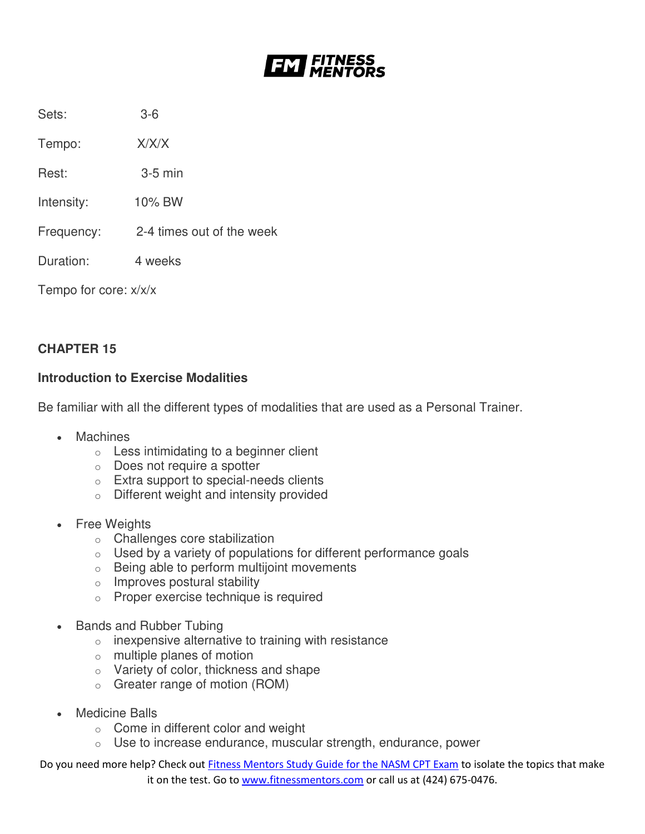![](_page_40_Picture_0.jpeg)

Sets: 3-6

Tempo: X/X/X

Rest: 3-5 min

Intensity: 10% BW

Frequency: 2-4 times out of the week

Duration: 4 weeks

Tempo for core: x/x/x

# **CHAPTER 15**

### **Introduction to Exercise Modalities**

Be familiar with all the different types of modalities that are used as a Personal Trainer.

- **Machines** 
	- o Less intimidating to a beginner client
	- o Does not require a spotter
	- o Extra support to special-needs clients
	- o Different weight and intensity provided
- Free Weights
	- o Challenges core stabilization
	- $\circ$  Used by a variety of populations for different performance goals
	- o Being able to perform multijoint movements
	- o Improves postural stability
	- o Proper exercise technique is required
- Bands and Rubber Tubing
	- $\circ$  inexpensive alternative to training with resistance
	- o multiple planes of motion
	- o Variety of color, thickness and shape
	- o Greater range of motion (ROM)
- Medicine Balls
	- o Come in different color and weight
	- o Use to increase endurance, muscular strength, endurance, power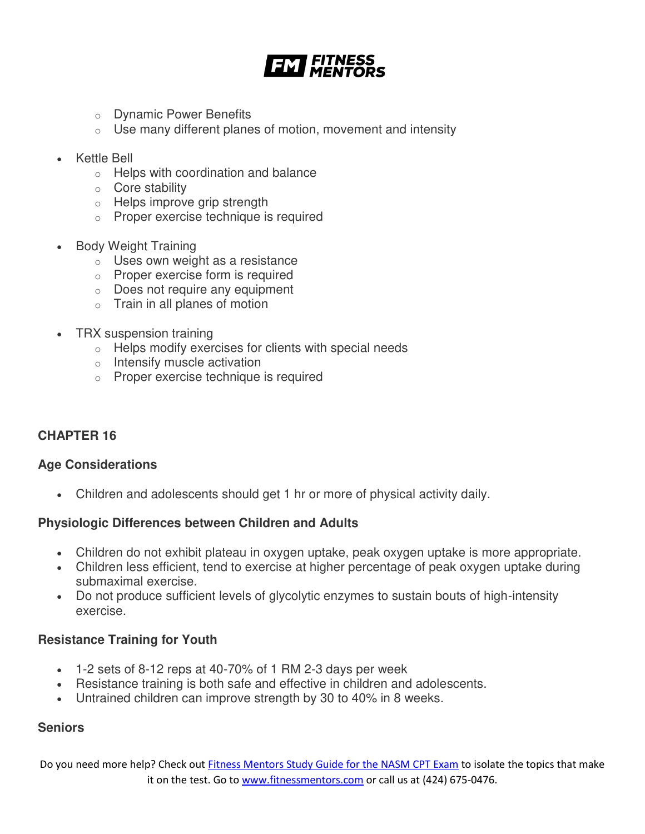![](_page_41_Picture_0.jpeg)

- o Dynamic Power Benefits
- $\circ$  Use many different planes of motion, movement and intensity
- Kettle Bell
	- o Helps with coordination and balance
	- o Core stability
	- o Helps improve grip strength
	- o Proper exercise technique is required
- Body Weight Training
	- o Uses own weight as a resistance
	- o Proper exercise form is required
	- o Does not require any equipment
	- $\circ$  Train in all planes of motion
- TRX suspension training
	- o Helps modify exercises for clients with special needs
	- o Intensify muscle activation
	- o Proper exercise technique is required

#### **CHAPTER 16**

#### **Age Considerations**

Children and adolescents should get 1 hr or more of physical activity daily.

#### **Physiologic Differences between Children and Adults**

- Children do not exhibit plateau in oxygen uptake, peak oxygen uptake is more appropriate.
- Children less efficient, tend to exercise at higher percentage of peak oxygen uptake during submaximal exercise.
- Do not produce sufficient levels of glycolytic enzymes to sustain bouts of high-intensity exercise.

#### **Resistance Training for Youth**

- $\bullet$  1-2 sets of 8-12 reps at 40-70% of 1 RM 2-3 days per week
- Resistance training is both safe and effective in children and adolescents.
- Untrained children can improve strength by 30 to 40% in 8 weeks.

#### **Seniors**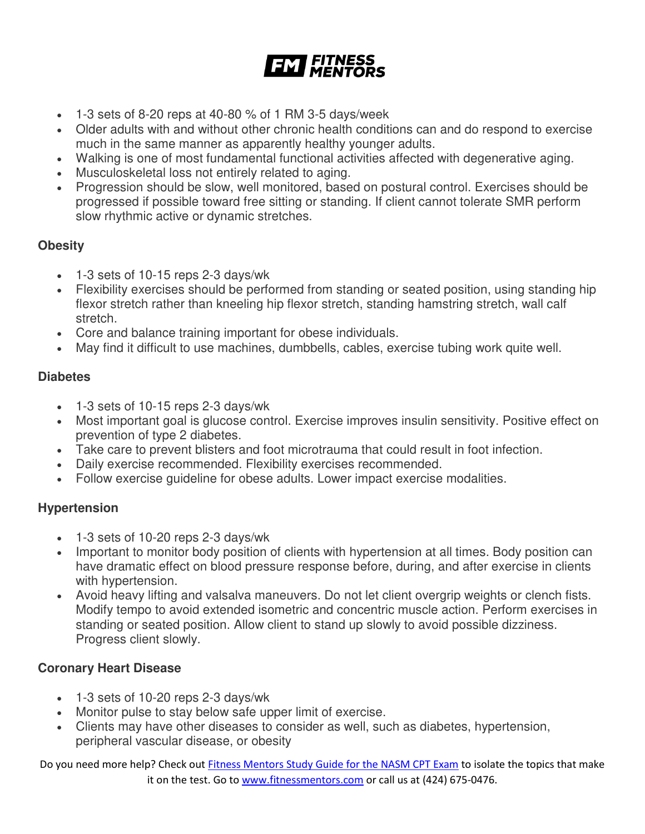![](_page_42_Picture_0.jpeg)

- $\bullet$  1-3 sets of 8-20 reps at 40-80 % of 1 RM 3-5 days/week
- Older adults with and without other chronic health conditions can and do respond to exercise much in the same manner as apparently healthy younger adults.
- Walking is one of most fundamental functional activities affected with degenerative aging.
- Musculoskeletal loss not entirely related to aging.
- Progression should be slow, well monitored, based on postural control. Exercises should be progressed if possible toward free sitting or standing. If client cannot tolerate SMR perform slow rhythmic active or dynamic stretches.

### **Obesity**

- 1-3 sets of 10-15 reps 2-3 days/wk
- Flexibility exercises should be performed from standing or seated position, using standing hip flexor stretch rather than kneeling hip flexor stretch, standing hamstring stretch, wall calf stretch.
- Core and balance training important for obese individuals.
- May find it difficult to use machines, dumbbells, cables, exercise tubing work quite well.

### **Diabetes**

- 1-3 sets of 10-15 reps 2-3 days/wk
- Most important goal is glucose control. Exercise improves insulin sensitivity. Positive effect on prevention of type 2 diabetes.
- Take care to prevent blisters and foot microtrauma that could result in foot infection.
- Daily exercise recommended. Flexibility exercises recommended.
- Follow exercise guideline for obese adults. Lower impact exercise modalities.

### **Hypertension**

- 1-3 sets of 10-20 reps 2-3 days/wk
- Important to monitor body position of clients with hypertension at all times. Body position can have dramatic effect on blood pressure response before, during, and after exercise in clients with hypertension.
- Avoid heavy lifting and valsalva maneuvers. Do not let client overgrip weights or clench fists. Modify tempo to avoid extended isometric and concentric muscle action. Perform exercises in standing or seated position. Allow client to stand up slowly to avoid possible dizziness. Progress client slowly.

### **Coronary Heart Disease**

- 1-3 sets of 10-20 reps 2-3 days/wk
- Monitor pulse to stay below safe upper limit of exercise.
- Clients may have other diseases to consider as well, such as diabetes, hypertension, peripheral vascular disease, or obesity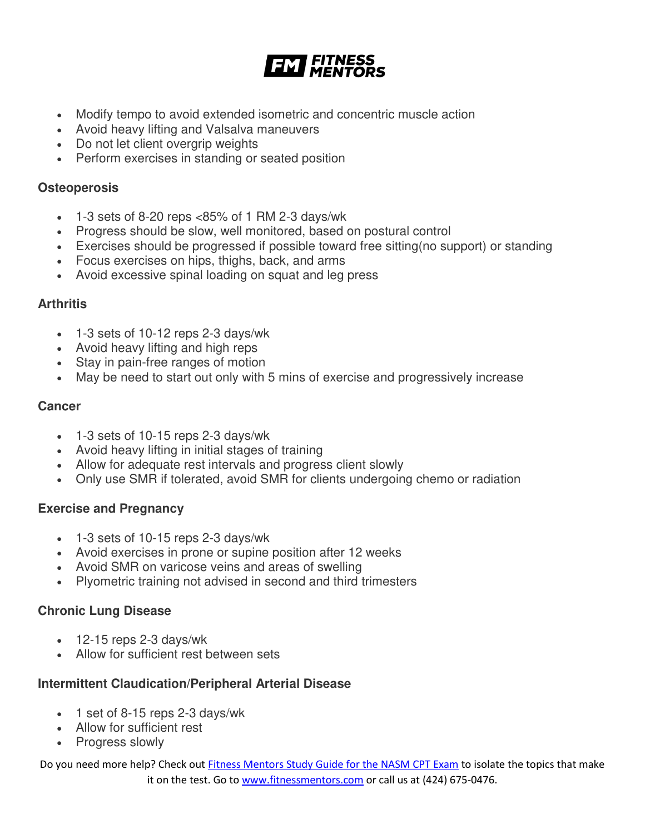![](_page_43_Picture_0.jpeg)

- Modify tempo to avoid extended isometric and concentric muscle action
- Avoid heavy lifting and Valsalva maneuvers
- Do not let client overgrip weights
- Perform exercises in standing or seated position

#### **Osteoperosis**

- $\cdot$  1-3 sets of 8-20 reps <85% of 1 RM 2-3 days/wk
- Progress should be slow, well monitored, based on postural control
- Exercises should be progressed if possible toward free sitting(no support) or standing
- Focus exercises on hips, thighs, back, and arms
- Avoid excessive spinal loading on squat and leg press

#### **Arthritis**

- 1-3 sets of 10-12 reps 2-3 days/wk
- Avoid heavy lifting and high reps
- Stay in pain-free ranges of motion
- May be need to start out only with 5 mins of exercise and progressively increase

#### **Cancer**

- 1-3 sets of 10-15 reps 2-3 days/wk
- Avoid heavy lifting in initial stages of training
- Allow for adequate rest intervals and progress client slowly
- Only use SMR if tolerated, avoid SMR for clients undergoing chemo or radiation

### **Exercise and Pregnancy**

- 1-3 sets of 10-15 reps 2-3 days/wk
- Avoid exercises in prone or supine position after 12 weeks
- Avoid SMR on varicose veins and areas of swelling
- Plyometric training not advised in second and third trimesters

#### **Chronic Lung Disease**

- $\cdot$  12-15 reps 2-3 days/wk
- Allow for sufficient rest between sets

### **Intermittent Claudication/Peripheral Arterial Disease**

- 1 set of 8-15 reps 2-3 days/wk
- Allow for sufficient rest
- Progress slowly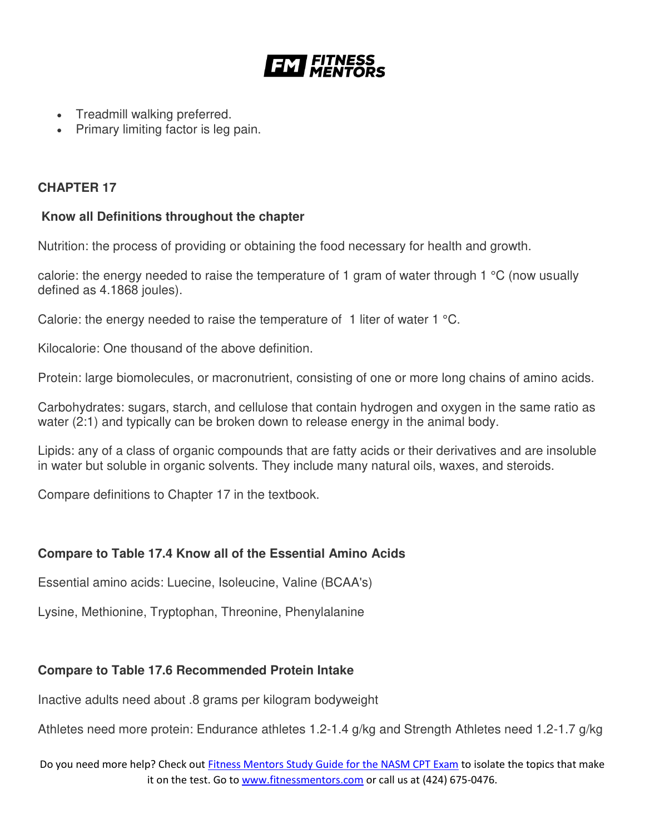![](_page_44_Picture_0.jpeg)

- Treadmill walking preferred.
- Primary limiting factor is leg pain.

# **CHAPTER 17**

# **Know all Definitions throughout the chapter**

Nutrition: the process of providing or obtaining the food necessary for health and growth.

calorie: the energy needed to raise the temperature of 1 gram of water through 1 °C (now usually defined as 4.1868 joules).

Calorie: the energy needed to raise the temperature of 1 liter of water 1  $^{\circ}$ C.

Kilocalorie: One thousand of the above definition.

Protein: large biomolecules, or macronutrient, consisting of one or more long chains of amino acids.

Carbohydrates: sugars, starch, and cellulose that contain hydrogen and oxygen in the same ratio as water (2:1) and typically can be broken down to release energy in the animal body.

Lipids: any of a class of organic compounds that are fatty acids or their derivatives and are insoluble in water but soluble in organic solvents. They include many natural oils, waxes, and steroids.

Compare definitions to Chapter 17 in the textbook.

# **Compare to Table 17.4 Know all of the Essential Amino Acids**

Essential amino acids: Luecine, Isoleucine, Valine (BCAA's)

Lysine, Methionine, Tryptophan, Threonine, Phenylalanine

# **Compare to Table 17.6 Recommended Protein Intake**

Inactive adults need about .8 grams per kilogram bodyweight

Athletes need more protein: Endurance athletes 1.2-1.4 g/kg and Strength Athletes need 1.2-1.7 g/kg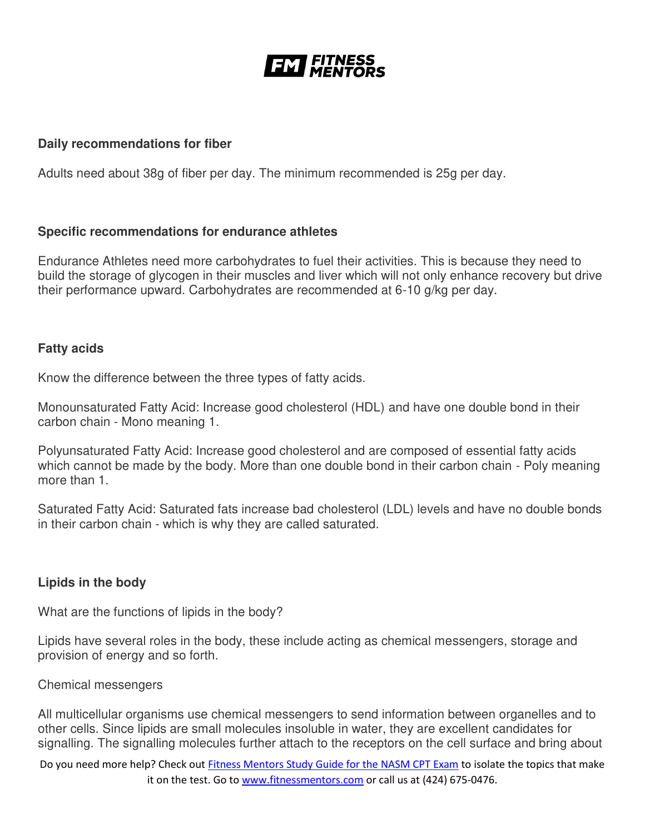![](_page_45_Picture_0.jpeg)

#### **Daily recommendations for fiber**

Adults need about 38g of fiber per day. The minimum recommended is 25g per day.

#### **Specific recommendations for endurance athletes**

Endurance Athletes need more carbohydrates to fuel their activities. This is because they need to build the storage of glycogen in their muscles and liver which will not only enhance recovery but drive their performance upward. Carbohydrates are recommended at 6-10 g/kg per day.

#### **Fatty acids**

Know the difference between the three types of fatty acids.

Monounsaturated Fatty Acid: Increase good cholesterol (HDL) and have one double bond in their carbon chain - Mono meaning 1.

Polyunsaturated Fatty Acid: Increase good cholesterol and are composed of essential fatty acids which cannot be made by the body. More than one double bond in their carbon chain - Poly meaning more than 1.

Saturated Fatty Acid: Saturated fats increase bad cholesterol (LDL) levels and have no double bonds in their carbon chain - which is why they are called saturated.

### **Lipids in the body**

What are the functions of lipids in the body?

Lipids have several roles in the body, these include acting as chemical messengers, storage and provision of energy and so forth.

#### Chemical messengers

All multicellular organisms use chemical messengers to send information between organelles and to other cells. Since lipids are small molecules insoluble in water, they are excellent candidates for signalling. The signalling molecules further attach to the receptors on the cell surface and bring about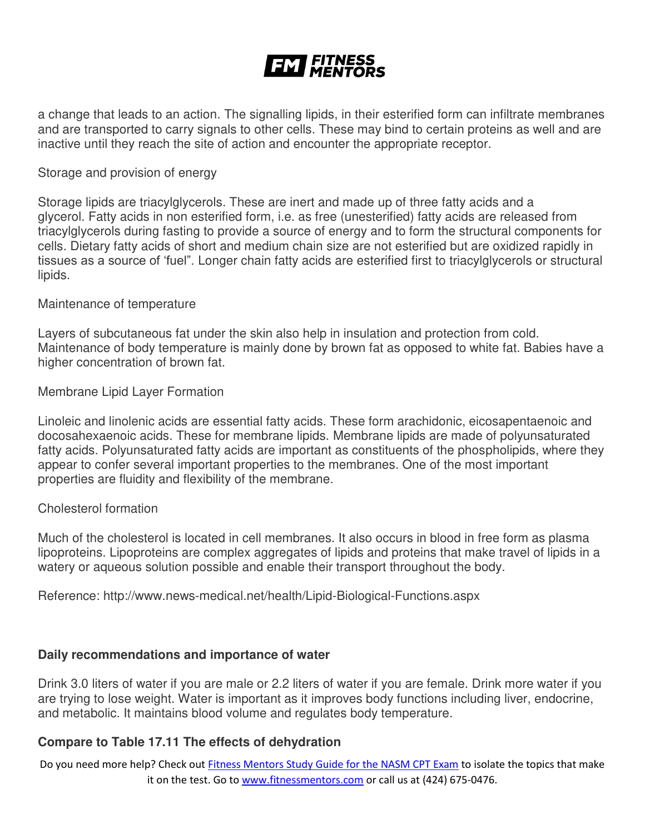a change that leads to an action. The signalling lipids, in their esterified form can infiltrate membranes and are transported to carry signals to other cells. These may bind to certain proteins as well and are inactive until they reach the site of action and encounter the appropriate receptor.

#### Storage and provision of energy

Storage lipids are triacylglycerols. These are inert and made up of three fatty acids and a glycerol. Fatty acids in non esterified form, i.e. as free (unesterified) fatty acids are released from triacylglycerols during fasting to provide a source of energy and to form the structural components for cells. Dietary fatty acids of short and medium chain size are not esterified but are oxidized rapidly in tissues as a source of 'fuel". Longer chain fatty acids are esterified first to triacylglycerols or structural lipids.

#### Maintenance of temperature

Layers of subcutaneous fat under the skin also help in insulation and protection from cold. Maintenance of body temperature is mainly done by brown fat as opposed to white fat. Babies have a higher concentration of brown fat.

#### Membrane Lipid Layer Formation

Linoleic and linolenic acids are essential fatty acids. These form arachidonic, eicosapentaenoic and docosahexaenoic acids. These for membrane lipids. Membrane lipids are made of polyunsaturated fatty acids. Polyunsaturated fatty acids are important as constituents of the phospholipids, where they appear to confer several important properties to the membranes. One of the most important properties are fluidity and flexibility of the membrane.

#### Cholesterol formation

Much of the cholesterol is located in cell membranes. It also occurs in blood in free form as plasma lipoproteins. Lipoproteins are complex aggregates of lipids and proteins that make travel of lipids in a watery or aqueous solution possible and enable their transport throughout the body.

Reference: http://www.news-medical.net/health/Lipid-Biological-Functions.aspx

#### **Daily recommendations and importance of water**

Drink 3.0 liters of water if you are male or 2.2 liters of water if you are female. Drink more water if you are trying to lose weight. Water is important as it improves body functions including liver, endocrine, and metabolic. It maintains blood volume and regulates body temperature.

#### **Compare to Table 17.11 The effects of dehydration**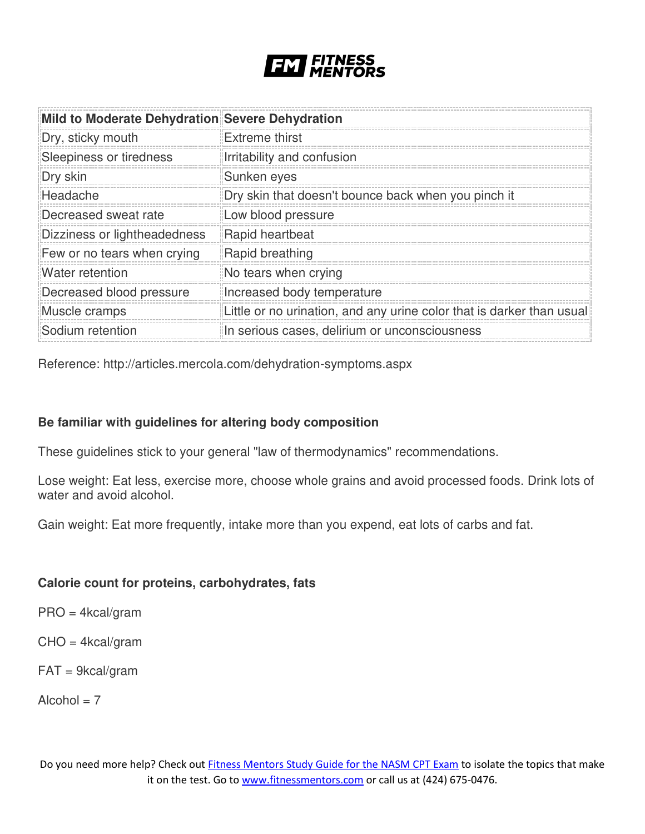![](_page_47_Picture_0.jpeg)

| Mild to Moderate Dehydration Severe Dehydration |                                                                       |
|-------------------------------------------------|-----------------------------------------------------------------------|
| Dry, sticky mouth                               | <b>Extreme thirst</b>                                                 |
| Sleepiness or tiredness                         | Irritability and confusion                                            |
| Dry skin                                        | Sunken eyes                                                           |
| Headache                                        | Dry skin that doesn't bounce back when you pinch it                   |
| Decreased sweat rate                            | Low blood pressure                                                    |
| Dizziness or lightheadedness                    | Rapid heartbeat                                                       |
| Few or no tears when crying                     | Rapid breathing                                                       |
| Water retention                                 | No tears when crying                                                  |
| Decreased blood pressure                        | Increased body temperature                                            |
| Muscle cramps                                   | Little or no urination, and any urine color that is darker than usual |
| Sodium retention                                | In serious cases, delirium or unconsciousness                         |

Reference: http://articles.mercola.com/dehydration-symptoms.aspx

### **Be familiar with guidelines for altering body composition**

These guidelines stick to your general "law of thermodynamics" recommendations.

Lose weight: Eat less, exercise more, choose whole grains and avoid processed foods. Drink lots of water and avoid alcohol.

Gain weight: Eat more frequently, intake more than you expend, eat lots of carbs and fat.

#### **Calorie count for proteins, carbohydrates, fats**

PRO = 4kcal/gram

CHO = 4kcal/gram

 $FAT = 9kcal/gram$ 

 $Alcohol = 7$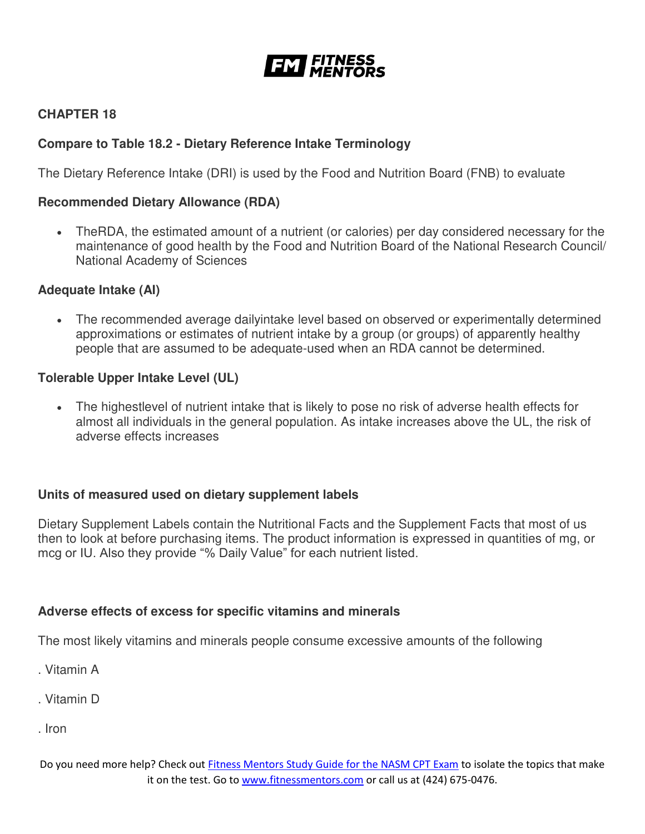![](_page_48_Picture_0.jpeg)

# **CHAPTER 18**

# **Compare to Table 18.2 - Dietary Reference Intake Terminology**

The Dietary Reference Intake (DRI) is used by the Food and Nutrition Board (FNB) to evaluate

# **Recommended Dietary Allowance (RDA)**

 TheRDA, the estimated amount of a nutrient (or calories) per day considered necessary for the maintenance of good health by the Food and Nutrition Board of the National Research Council/ National Academy of Sciences

### **Adequate Intake (AI)**

 The recommended average dailyintake level based on observed or experimentally determined approximations or estimates of nutrient intake by a group (or groups) of apparently healthy people that are assumed to be adequate-used when an RDA cannot be determined.

### **Tolerable Upper Intake Level (UL)**

 The highestlevel of nutrient intake that is likely to pose no risk of adverse health effects for almost all individuals in the general population. As intake increases above the UL, the risk of adverse effects increases

### **Units of measured used on dietary supplement labels**

Dietary Supplement Labels contain the Nutritional Facts and the Supplement Facts that most of us then to look at before purchasing items. The product information is expressed in quantities of mg, or mcg or IU. Also they provide "% Daily Value" for each nutrient listed.

### **Adverse effects of excess for specific vitamins and minerals**

The most likely vitamins and minerals people consume excessive amounts of the following

- . Vitamin A
- . Vitamin D
- . Iron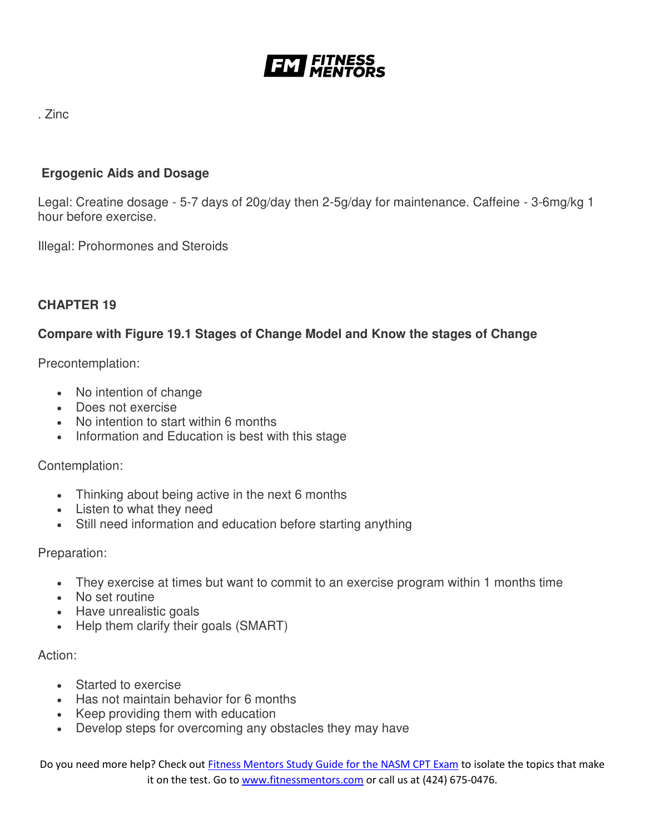![](_page_49_Picture_0.jpeg)

# . Zinc

# **Ergogenic Aids and Dosage**

Legal: Creatine dosage - 5-7 days of 20g/day then 2-5g/day for maintenance. Caffeine - 3-6mg/kg 1 hour before exercise.

Illegal: Prohormones and Steroids

### **CHAPTER 19**

# **Compare with Figure 19.1 Stages of Change Model and Know the stages of Change**

Precontemplation:

- No intention of change
- Does not exercise
- No intention to start within 6 months
- Information and Education is best with this stage

Contemplation:

- Thinking about being active in the next 6 months
- Listen to what they need
- Still need information and education before starting anything

Preparation:

- They exercise at times but want to commit to an exercise program within 1 months time
- No set routine
- Have unrealistic goals
- Help them clarify their goals (SMART)

Action:

- **Started to exercise**
- Has not maintain behavior for 6 months
- Keep providing them with education
- Develop steps for overcoming any obstacles they may have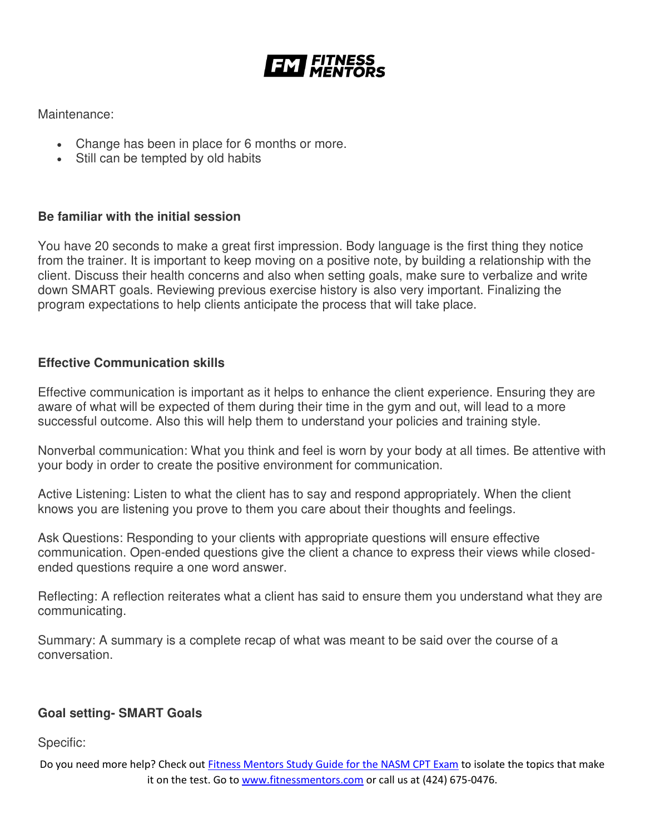![](_page_50_Picture_0.jpeg)

Maintenance:

- Change has been in place for 6 months or more.
- Still can be tempted by old habits

#### **Be familiar with the initial session**

You have 20 seconds to make a great first impression. Body language is the first thing they notice from the trainer. It is important to keep moving on a positive note, by building a relationship with the client. Discuss their health concerns and also when setting goals, make sure to verbalize and write down SMART goals. Reviewing previous exercise history is also very important. Finalizing the program expectations to help clients anticipate the process that will take place.

### **Effective Communication skills**

Effective communication is important as it helps to enhance the client experience. Ensuring they are aware of what will be expected of them during their time in the gym and out, will lead to a more successful outcome. Also this will help them to understand your policies and training style.

Nonverbal communication: What you think and feel is worn by your body at all times. Be attentive with your body in order to create the positive environment for communication.

Active Listening: Listen to what the client has to say and respond appropriately. When the client knows you are listening you prove to them you care about their thoughts and feelings.

Ask Questions: Responding to your clients with appropriate questions will ensure effective communication. Open-ended questions give the client a chance to express their views while closedended questions require a one word answer.

Reflecting: A reflection reiterates what a client has said to ensure them you understand what they are communicating.

Summary: A summary is a complete recap of what was meant to be said over the course of a conversation.

### **Goal setting- SMART Goals**

Specific: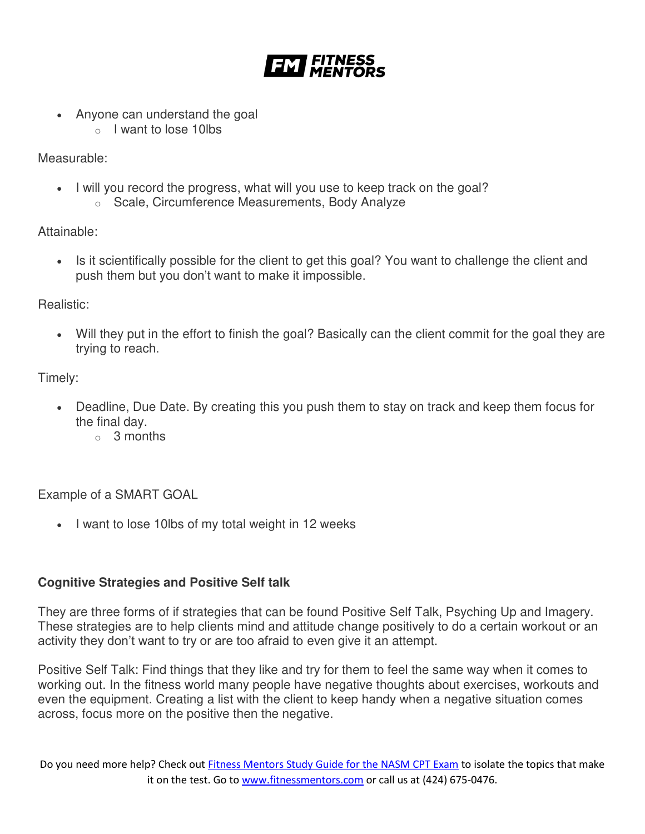![](_page_51_Picture_0.jpeg)

- Anyone can understand the goal
	- o I want to lose 10lbs

Measurable:

- I will you record the progress, what will you use to keep track on the goal?
	- o Scale, Circumference Measurements, Body Analyze

Attainable:

 Is it scientifically possible for the client to get this goal? You want to challenge the client and push them but you don't want to make it impossible.

Realistic:

 Will they put in the effort to finish the goal? Basically can the client commit for the goal they are trying to reach.

Timely:

- Deadline, Due Date. By creating this you push them to stay on track and keep them focus for the final day.
	- o 3 months

Example of a SMART GOAL

• I want to lose 10lbs of my total weight in 12 weeks

# **Cognitive Strategies and Positive Self talk**

They are three forms of if strategies that can be found Positive Self Talk, Psyching Up and Imagery. These strategies are to help clients mind and attitude change positively to do a certain workout or an activity they don't want to try or are too afraid to even give it an attempt.

Positive Self Talk: Find things that they like and try for them to feel the same way when it comes to working out. In the fitness world many people have negative thoughts about exercises, workouts and even the equipment. Creating a list with the client to keep handy when a negative situation comes across, focus more on the positive then the negative.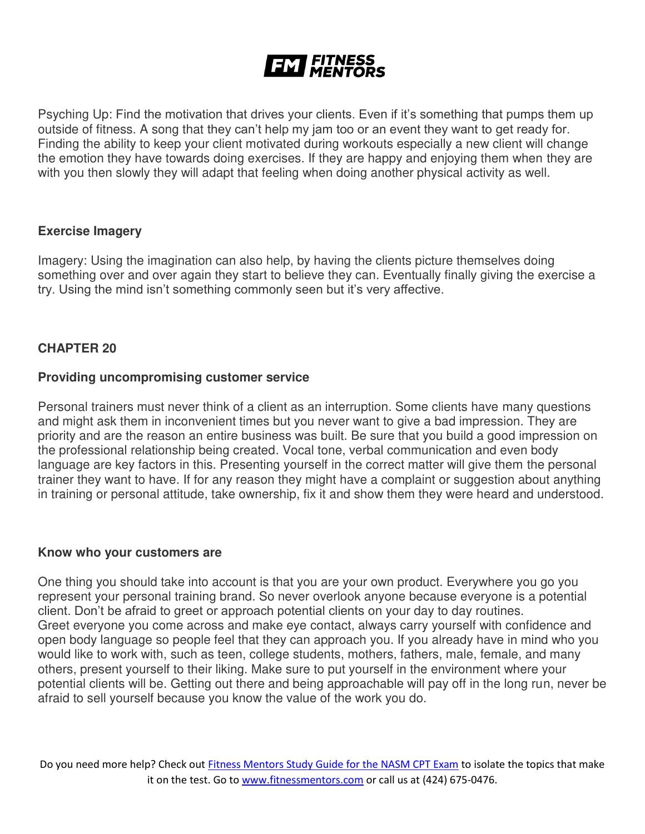Psyching Up: Find the motivation that drives your clients. Even if it's something that pumps them up outside of fitness. A song that they can't help my jam too or an event they want to get ready for. Finding the ability to keep your client motivated during workouts especially a new client will change the emotion they have towards doing exercises. If they are happy and enjoying them when they are with you then slowly they will adapt that feeling when doing another physical activity as well.

#### **Exercise Imagery**

Imagery: Using the imagination can also help, by having the clients picture themselves doing something over and over again they start to believe they can. Eventually finally giving the exercise a try. Using the mind isn't something commonly seen but it's very affective.

#### **CHAPTER 20**

#### **Providing uncompromising customer service**

Personal trainers must never think of a client as an interruption. Some clients have many questions and might ask them in inconvenient times but you never want to give a bad impression. They are priority and are the reason an entire business was built. Be sure that you build a good impression on the professional relationship being created. Vocal tone, verbal communication and even body language are key factors in this. Presenting yourself in the correct matter will give them the personal trainer they want to have. If for any reason they might have a complaint or suggestion about anything in training or personal attitude, take ownership, fix it and show them they were heard and understood.

#### **Know who your customers are**

One thing you should take into account is that you are your own product. Everywhere you go you represent your personal training brand. So never overlook anyone because everyone is a potential client. Don't be afraid to greet or approach potential clients on your day to day routines. Greet everyone you come across and make eye contact, always carry yourself with confidence and open body language so people feel that they can approach you. If you already have in mind who you would like to work with, such as teen, college students, mothers, fathers, male, female, and many others, present yourself to their liking. Make sure to put yourself in the environment where your potential clients will be. Getting out there and being approachable will pay off in the long run, never be afraid to sell yourself because you know the value of the work you do.